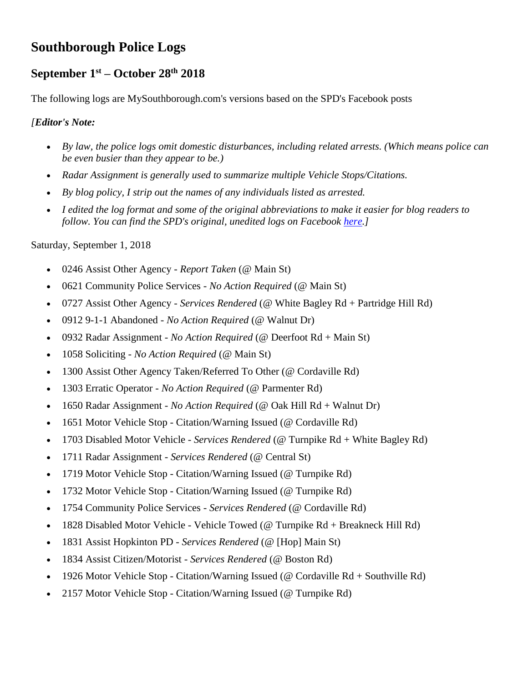# **Southborough Police Logs**

# **September 1st – October 28 th 2018**

The following logs are MySouthborough.com's versions based on the SPD's Facebook posts

### *[Editor's Note:*

- *By law, the police logs omit domestic disturbances, including related arrests. (Which means police can be even busier than they appear to be.)*
- *Radar Assignment is generally used to summarize multiple Vehicle Stops/Citations.*
- *By blog policy, I strip out the names of any individuals listed as arrested.*
- *I edited the log format and some of the original abbreviations to make it easier for blog readers to follow. You can find the SPD's original, unedited logs on Facebook [here.](https://www.facebook.com/pg/Southborough-Police-Department-157549017664020/posts/?ref=notif)]*

Saturday, September 1, 2018

- 0246 Assist Other Agency *Report Taken* (@ Main St)
- 0621 Community Police Services *No Action Required* (@ Main St)
- 0727 Assist Other Agency *Services Rendered* (@ White Bagley Rd + Partridge Hill Rd)
- 0912 9-1-1 Abandoned *No Action Required* (@ Walnut Dr)
- 0932 Radar Assignment *No Action Required* (@ Deerfoot Rd + Main St)
- 1058 Soliciting *No Action Required* (@ Main St)
- 1300 Assist Other Agency Taken/Referred To Other (@ Cordaville Rd)
- 1303 Erratic Operator *No Action Required* (@ Parmenter Rd)
- 1650 Radar Assignment *No Action Required* (@ Oak Hill Rd + Walnut Dr)
- 1651 Motor Vehicle Stop Citation/Warning Issued (@ Cordaville Rd)
- 1703 Disabled Motor Vehicle *Services Rendered* (@ Turnpike Rd + White Bagley Rd)
- 1711 Radar Assignment *Services Rendered* (@ Central St)
- 1719 Motor Vehicle Stop Citation/Warning Issued (@ Turnpike Rd)
- 1732 Motor Vehicle Stop Citation/Warning Issued (@ Turnpike Rd)
- 1754 Community Police Services *Services Rendered* (@ Cordaville Rd)
- 1828 Disabled Motor Vehicle Vehicle Towed (@ Turnpike Rd + Breakneck Hill Rd)
- 1831 Assist Hopkinton PD *Services Rendered* (@ [Hop] Main St)
- 1834 Assist Citizen/Motorist *Services Rendered* (@ Boston Rd)
- 1926 Motor Vehicle Stop Citation/Warning Issued (@ Cordaville  $Rd +$  Southville  $Rd$ )
- 2157 Motor Vehicle Stop Citation/Warning Issued (@ Turnpike Rd)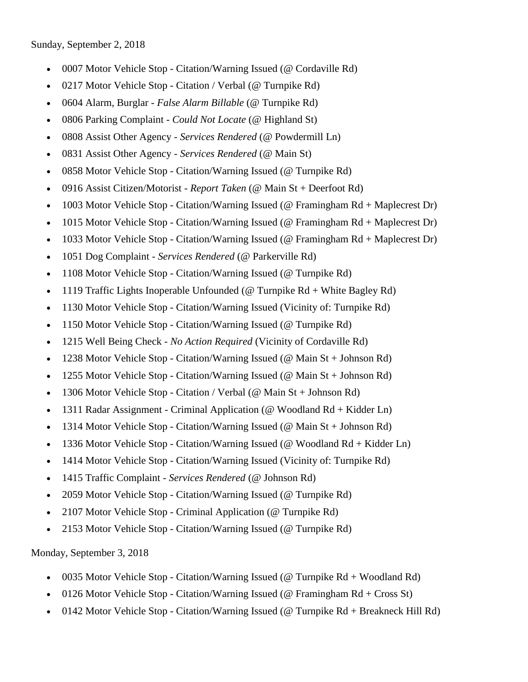- 0007 Motor Vehicle Stop Citation/Warning Issued (@ Cordaville Rd)
- 0217 Motor Vehicle Stop Citation / Verbal (@ Turnpike Rd)
- 0604 Alarm, Burglar *False Alarm Billable* (@ Turnpike Rd)
- 0806 Parking Complaint *Could Not Locate* (@ Highland St)
- 0808 Assist Other Agency *Services Rendered* (@ Powdermill Ln)
- 0831 Assist Other Agency *Services Rendered* (@ Main St)
- 0858 Motor Vehicle Stop Citation/Warning Issued (@ Turnpike Rd)
- 0916 Assist Citizen/Motorist *Report Taken* (@ Main St + Deerfoot Rd)
- 1003 Motor Vehicle Stop Citation/Warning Issued (@ Framingham Rd + Maplecrest Dr)
- 1015 Motor Vehicle Stop Citation/Warning Issued (@ Framingham Rd + Maplecrest Dr)
- 1033 Motor Vehicle Stop Citation/Warning Issued (@ Framingham Rd + Maplecrest Dr)
- 1051 Dog Complaint *Services Rendered* (@ Parkerville Rd)
- 1108 Motor Vehicle Stop Citation/Warning Issued (@ Turnpike Rd)
- 1119 Traffic Lights Inoperable Unfounded ( $@$  Turnpike Rd + White Bagley Rd)
- 1130 Motor Vehicle Stop Citation/Warning Issued (Vicinity of: Turnpike Rd)
- 1150 Motor Vehicle Stop Citation/Warning Issued (@ Turnpike Rd)
- 1215 Well Being Check *No Action Required* (Vicinity of Cordaville Rd)
- 1238 Motor Vehicle Stop Citation/Warning Issued (@ Main St + Johnson Rd)
- 1255 Motor Vehicle Stop Citation/Warning Issued (@ Main St + Johnson Rd)
- 1306 Motor Vehicle Stop Citation / Verbal (@ Main St + Johnson Rd)
- 1311 Radar Assignment Criminal Application (@ Woodland Rd + Kidder Ln)
- 1314 Motor Vehicle Stop Citation/Warning Issued (@ Main St + Johnson Rd)
- 1336 Motor Vehicle Stop Citation/Warning Issued (@ Woodland Rd + Kidder Ln)
- 1414 Motor Vehicle Stop Citation/Warning Issued (Vicinity of: Turnpike Rd)
- 1415 Traffic Complaint *Services Rendered* (@ Johnson Rd)
- 2059 Motor Vehicle Stop Citation/Warning Issued (@ Turnpike Rd)
- 2107 Motor Vehicle Stop Criminal Application (@ Turnpike Rd)
- 2153 Motor Vehicle Stop Citation/Warning Issued (@ Turnpike Rd)

Monday, September 3, 2018

- 0035 Motor Vehicle Stop Citation/Warning Issued ( $@$  Turnpike Rd + Woodland Rd)
- 0126 Motor Vehicle Stop Citation/Warning Issued (@ Framingham Rd + Cross St)
- 0142 Motor Vehicle Stop Citation/Warning Issued (@ Turnpike Rd + Breakneck Hill Rd)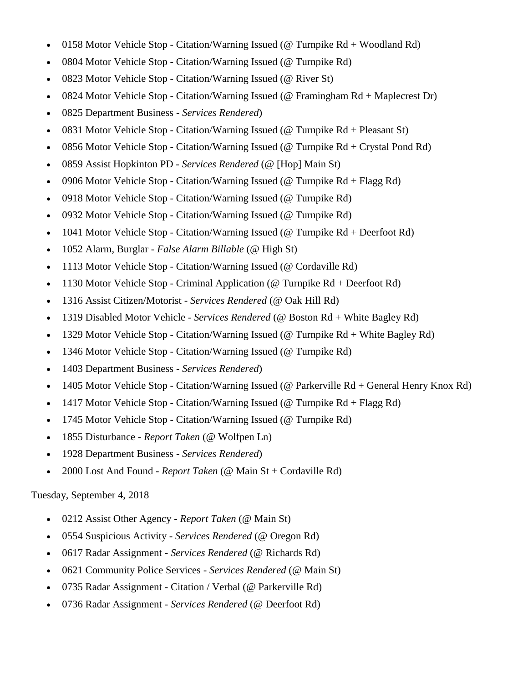- 0158 Motor Vehicle Stop Citation/Warning Issued ( $@$  Turnpike Rd + Woodland Rd)
- 0804 Motor Vehicle Stop Citation/Warning Issued (@ Turnpike Rd)
- 0823 Motor Vehicle Stop Citation/Warning Issued (@ River St)
- 0824 Motor Vehicle Stop Citation/Warning Issued (@ Framingham Rd + Maplecrest Dr)
- 0825 Department Business *Services Rendered*)
- 0831 Motor Vehicle Stop Citation/Warning Issued (@ Turnpike Rd + Pleasant St)
- 0856 Motor Vehicle Stop Citation/Warning Issued (@ Turnpike Rd + Crystal Pond Rd)
- 0859 Assist Hopkinton PD *Services Rendered* (@ [Hop] Main St)
- 0906 Motor Vehicle Stop Citation/Warning Issued (@ Turnpike Rd + Flagg Rd)
- 0918 Motor Vehicle Stop Citation/Warning Issued (@ Turnpike Rd)
- 0932 Motor Vehicle Stop Citation/Warning Issued (@ Turnpike Rd)
- 1041 Motor Vehicle Stop Citation/Warning Issued (@ Turnpike Rd + Deerfoot Rd)
- 1052 Alarm, Burglar *False Alarm Billable* (@ High St)
- 1113 Motor Vehicle Stop Citation/Warning Issued (@ Cordaville Rd)
- 1130 Motor Vehicle Stop Criminal Application (@ Turnpike Rd + Deerfoot Rd)
- 1316 Assist Citizen/Motorist *Services Rendered* (@ Oak Hill Rd)
- 1319 Disabled Motor Vehicle *Services Rendered* (@ Boston Rd + White Bagley Rd)
- 1329 Motor Vehicle Stop Citation/Warning Issued (@ Turnpike Rd + White Bagley Rd)
- 1346 Motor Vehicle Stop Citation/Warning Issued (@ Turnpike Rd)
- 1403 Department Business *Services Rendered*)
- 1405 Motor Vehicle Stop Citation/Warning Issued (@ Parkerville Rd + General Henry Knox Rd)
- 1417 Motor Vehicle Stop Citation/Warning Issued (@ Turnpike  $Rd + Flagg Rd$ )
- 1745 Motor Vehicle Stop Citation/Warning Issued (@ Turnpike Rd)
- 1855 Disturbance *Report Taken* (@ Wolfpen Ln)
- 1928 Department Business *Services Rendered*)
- 2000 Lost And Found *Report Taken* (@ Main St + Cordaville Rd)

#### Tuesday, September 4, 2018

- 0212 Assist Other Agency *Report Taken* (@ Main St)
- 0554 Suspicious Activity *Services Rendered* (@ Oregon Rd)
- 0617 Radar Assignment *Services Rendered* (@ Richards Rd)
- 0621 Community Police Services *Services Rendered* (@ Main St)
- 0735 Radar Assignment Citation / Verbal (@ Parkerville Rd)
- 0736 Radar Assignment *Services Rendered* (@ Deerfoot Rd)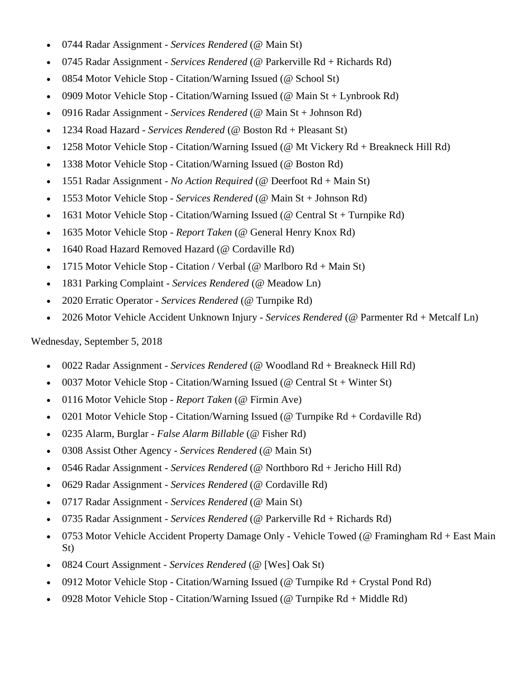- 0744 Radar Assignment *Services Rendered* (@ Main St)
- 0745 Radar Assignment *Services Rendered* (@ Parkerville Rd + Richards Rd)
- 0854 Motor Vehicle Stop Citation/Warning Issued (@ School St)
- 0909 Motor Vehicle Stop Citation/Warning Issued (@ Main  $St + Lynbrook Rd$ )
- 0916 Radar Assignment *Services Rendered* (@ Main St + Johnson Rd)
- 1234 Road Hazard *Services Rendered* (@ Boston Rd + Pleasant St)
- 1258 Motor Vehicle Stop Citation/Warning Issued (@ Mt Vickery Rd + Breakneck Hill Rd)
- 1338 Motor Vehicle Stop Citation/Warning Issued (@ Boston Rd)
- 1551 Radar Assignment *No Action Required* (@ Deerfoot Rd + Main St)
- 1553 Motor Vehicle Stop *Services Rendered* (@ Main St + Johnson Rd)
- 1631 Motor Vehicle Stop Citation/Warning Issued (@ Central St + Turnpike Rd)
- 1635 Motor Vehicle Stop *Report Taken* (@ General Henry Knox Rd)
- 1640 Road Hazard Removed Hazard (@ Cordaville Rd)
- 1715 Motor Vehicle Stop Citation / Verbal (@ Marlboro  $Rd + Main St$ )
- 1831 Parking Complaint *Services Rendered* (@ Meadow Ln)
- 2020 Erratic Operator *Services Rendered* (@ Turnpike Rd)
- 2026 Motor Vehicle Accident Unknown Injury *Services Rendered* (@ Parmenter Rd + Metcalf Ln)

Wednesday, September 5, 2018

- 0022 Radar Assignment *Services Rendered* (@ Woodland Rd + Breakneck Hill Rd)
- 0037 Motor Vehicle Stop Citation/Warning Issued (@ Central St + Winter St)
- 0116 Motor Vehicle Stop *Report Taken* (@ Firmin Ave)
- 0201 Motor Vehicle Stop Citation/Warning Issued ( $@$  Turnpike Rd + Cordaville Rd)
- 0235 Alarm, Burglar *False Alarm Billable* (@ Fisher Rd)
- 0308 Assist Other Agency *Services Rendered* (@ Main St)
- 0546 Radar Assignment *Services Rendered* (@ Northboro Rd + Jericho Hill Rd)
- 0629 Radar Assignment *Services Rendered* (@ Cordaville Rd)
- 0717 Radar Assignment *Services Rendered* (@ Main St)
- 0735 Radar Assignment *Services Rendered* (@ Parkerville Rd + Richards Rd)
- 0753 Motor Vehicle Accident Property Damage Only Vehicle Towed (@ Framingham Rd + East Main St)
- 0824 Court Assignment *Services Rendered* (@ [Wes] Oak St)
- 0912 Motor Vehicle Stop Citation/Warning Issued (@ Turnpike  $Rd + Crystal$  Pond  $Rd$ )
- 0928 Motor Vehicle Stop Citation/Warning Issued (@ Turnpike Rd + Middle Rd)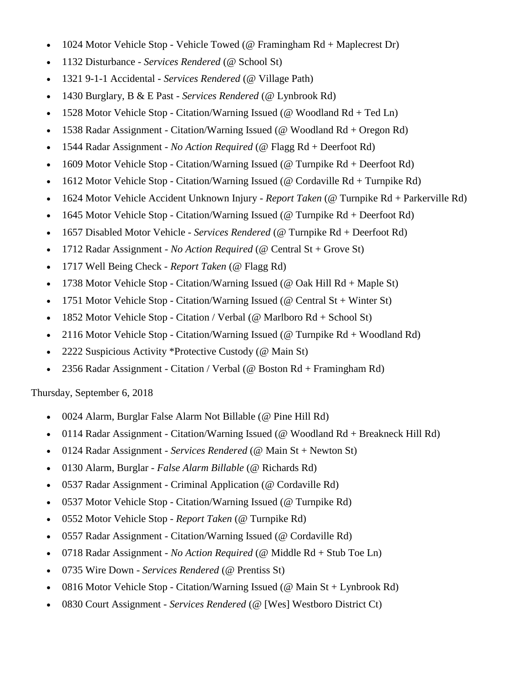- 1024 Motor Vehicle Stop Vehicle Towed ( $@$  Framingham  $Rd + Maplectest Dr$ )
- 1132 Disturbance *Services Rendered* (@ School St)
- 1321 9-1-1 Accidental *Services Rendered* (@ Village Path)
- 1430 Burglary, B & E Past *Services Rendered* (@ Lynbrook Rd)
- 1528 Motor Vehicle Stop Citation/Warning Issued (@ Woodland Rd + Ted Ln)
- 1538 Radar Assignment Citation/Warning Issued (@ Woodland Rd + Oregon Rd)
- 1544 Radar Assignment *No Action Required* (@ Flagg Rd + Deerfoot Rd)
- 1609 Motor Vehicle Stop Citation/Warning Issued (@ Turnpike Rd + Deerfoot Rd)
- 1612 Motor Vehicle Stop Citation/Warning Issued (@ Cordaville Rd + Turnpike Rd)
- 1624 Motor Vehicle Accident Unknown Injury *Report Taken* (@ Turnpike Rd + Parkerville Rd)
- 1645 Motor Vehicle Stop Citation/Warning Issued (@ Turnpike Rd + Deerfoot Rd)
- 1657 Disabled Motor Vehicle *Services Rendered* (@ Turnpike Rd + Deerfoot Rd)
- 1712 Radar Assignment *No Action Required* (@ Central St + Grove St)
- 1717 Well Being Check *Report Taken* (@ Flagg Rd)
- 1738 Motor Vehicle Stop Citation/Warning Issued (@ Oak Hill Rd + Maple St)
- 1751 Motor Vehicle Stop Citation/Warning Issued (@ Central St + Winter St)
- 1852 Motor Vehicle Stop Citation / Verbal (@ Marlboro  $Rd +$  School St)
- 2116 Motor Vehicle Stop Citation/Warning Issued (@ Turnpike Rd + Woodland Rd)
- 2222 Suspicious Activity \*Protective Custody (@ Main St)
- 2356 Radar Assignment Citation / Verbal (@ Boston Rd + Framingham Rd)

Thursday, September 6, 2018

- 0024 Alarm, Burglar False Alarm Not Billable (@ Pine Hill Rd)
- 0114 Radar Assignment Citation/Warning Issued (@ Woodland Rd + Breakneck Hill Rd)
- 0124 Radar Assignment *Services Rendered* (@ Main St + Newton St)
- 0130 Alarm, Burglar *False Alarm Billable* (@ Richards Rd)
- 0537 Radar Assignment Criminal Application (@ Cordaville Rd)
- 0537 Motor Vehicle Stop Citation/Warning Issued (@ Turnpike Rd)
- 0552 Motor Vehicle Stop *Report Taken* (@ Turnpike Rd)
- 0557 Radar Assignment Citation/Warning Issued (@ Cordaville Rd)
- 0718 Radar Assignment *No Action Required* (@ Middle Rd + Stub Toe Ln)
- 0735 Wire Down *Services Rendered* (@ Prentiss St)
- 0816 Motor Vehicle Stop Citation/Warning Issued (@ Main St + Lynbrook Rd)
- 0830 Court Assignment *Services Rendered* (@ [Wes] Westboro District Ct)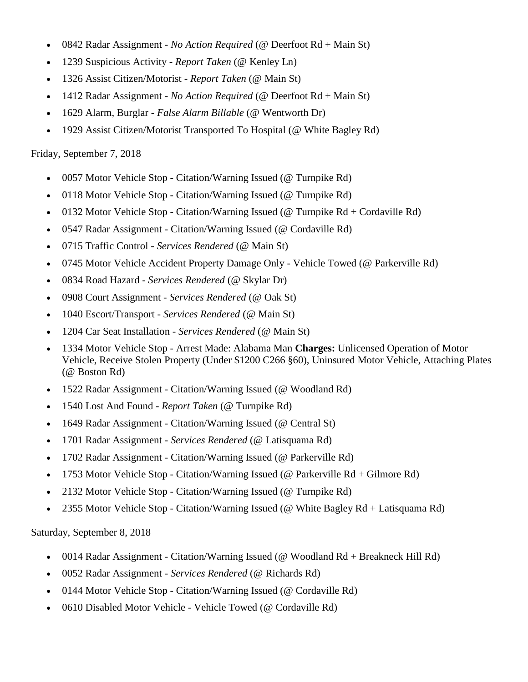- 0842 Radar Assignment *No Action Required* (@ Deerfoot Rd + Main St)
- 1239 Suspicious Activity *Report Taken* (@ Kenley Ln)
- 1326 Assist Citizen/Motorist *Report Taken* (@ Main St)
- 1412 Radar Assignment *No Action Required* (@ Deerfoot Rd + Main St)
- 1629 Alarm, Burglar *False Alarm Billable* (@ Wentworth Dr)
- 1929 Assist Citizen/Motorist Transported To Hospital (@ White Bagley Rd)

# Friday, September 7, 2018

- 0057 Motor Vehicle Stop Citation/Warning Issued (@ Turnpike Rd)
- 0118 Motor Vehicle Stop Citation/Warning Issued (@ Turnpike Rd)
- 0132 Motor Vehicle Stop Citation/Warning Issued (@ Turnpike Rd + Cordaville Rd)
- 0547 Radar Assignment Citation/Warning Issued (@ Cordaville Rd)
- 0715 Traffic Control *Services Rendered* (@ Main St)
- 0745 Motor Vehicle Accident Property Damage Only Vehicle Towed (@ Parkerville Rd)
- 0834 Road Hazard *Services Rendered* (@ Skylar Dr)
- 0908 Court Assignment *Services Rendered* (@ Oak St)
- 1040 Escort/Transport *Services Rendered* (@ Main St)
- 1204 Car Seat Installation *Services Rendered* (@ Main St)
- 1334 Motor Vehicle Stop Arrest Made: Alabama Man **Charges:** Unlicensed Operation of Motor Vehicle, Receive Stolen Property (Under \$1200 C266 §60), Uninsured Motor Vehicle, Attaching Plates (@ Boston Rd)
- 1522 Radar Assignment Citation/Warning Issued (@ Woodland Rd)
- 1540 Lost And Found *Report Taken* (@ Turnpike Rd)
- 1649 Radar Assignment Citation/Warning Issued (@ Central St)
- 1701 Radar Assignment *Services Rendered* (@ Latisquama Rd)
- 1702 Radar Assignment Citation/Warning Issued (@ Parkerville Rd)
- 1753 Motor Vehicle Stop Citation/Warning Issued (@ Parkerville Rd + Gilmore Rd)
- 2132 Motor Vehicle Stop Citation/Warning Issued (@ Turnpike Rd)
- 2355 Motor Vehicle Stop Citation/Warning Issued (@ White Bagley Rd + Latisquama Rd)

Saturday, September 8, 2018

- 0014 Radar Assignment Citation/Warning Issued (@ Woodland Rd + Breakneck Hill Rd)
- 0052 Radar Assignment *Services Rendered* (@ Richards Rd)
- 0144 Motor Vehicle Stop Citation/Warning Issued (@ Cordaville Rd)
- 0610 Disabled Motor Vehicle Vehicle Towed (@ Cordaville Rd)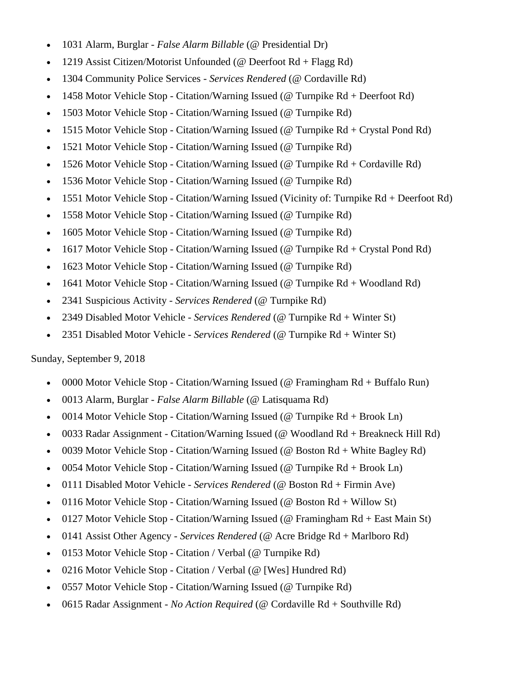- 1031 Alarm, Burglar *False Alarm Billable* (@ Presidential Dr)
- 1219 Assist Citizen/Motorist Unfounded (@ Deerfoot Rd + Flagg Rd)
- 1304 Community Police Services *Services Rendered* (@ Cordaville Rd)
- 1458 Motor Vehicle Stop Citation/Warning Issued (@ Turnpike Rd + Deerfoot Rd)
- 1503 Motor Vehicle Stop Citation/Warning Issued (@ Turnpike Rd)
- 1515 Motor Vehicle Stop Citation/Warning Issued (@ Turnpike Rd + Crystal Pond Rd)
- 1521 Motor Vehicle Stop Citation/Warning Issued (@ Turnpike Rd)
- 1526 Motor Vehicle Stop Citation/Warning Issued (@ Turnpike Rd + Cordaville Rd)
- 1536 Motor Vehicle Stop Citation/Warning Issued (@ Turnpike Rd)
- 1551 Motor Vehicle Stop Citation/Warning Issued (Vicinity of: Turnpike Rd + Deerfoot Rd)
- 1558 Motor Vehicle Stop Citation/Warning Issued (@ Turnpike Rd)
- 1605 Motor Vehicle Stop Citation/Warning Issued (@ Turnpike Rd)
- 1617 Motor Vehicle Stop Citation/Warning Issued (@ Turnpike Rd + Crystal Pond Rd)
- 1623 Motor Vehicle Stop Citation/Warning Issued (@ Turnpike Rd)
- 1641 Motor Vehicle Stop Citation/Warning Issued (@ Turnpike Rd + Woodland Rd)
- 2341 Suspicious Activity *Services Rendered* (@ Turnpike Rd)
- 2349 Disabled Motor Vehicle *Services Rendered* (@ Turnpike Rd + Winter St)
- 2351 Disabled Motor Vehicle *Services Rendered* (@ Turnpike Rd + Winter St)

Sunday, September 9, 2018

- 0000 Motor Vehicle Stop Citation/Warning Issued (@ Framingham Rd + Buffalo Run)
- 0013 Alarm, Burglar *False Alarm Billable* (@ Latisquama Rd)
- 0014 Motor Vehicle Stop Citation/Warning Issued ( $@$  Turnpike Rd + Brook Ln)
- 0033 Radar Assignment Citation/Warning Issued (@ Woodland Rd + Breakneck Hill Rd)
- 0039 Motor Vehicle Stop Citation/Warning Issued (@ Boston Rd + White Bagley Rd)
- 0054 Motor Vehicle Stop Citation/Warning Issued (@ Turnpike Rd + Brook Ln)
- 0111 Disabled Motor Vehicle *Services Rendered* (@ Boston Rd + Firmin Ave)
- 0116 Motor Vehicle Stop Citation/Warning Issued (@ Boston Rd + Willow St)
- 0127 Motor Vehicle Stop Citation/Warning Issued (@ Framingham Rd + East Main St)
- 0141 Assist Other Agency *Services Rendered* (@ Acre Bridge Rd + Marlboro Rd)
- 0153 Motor Vehicle Stop Citation / Verbal (@ Turnpike Rd)
- 0216 Motor Vehicle Stop Citation / Verbal (@ [Wes] Hundred Rd)
- 0557 Motor Vehicle Stop Citation/Warning Issued (@ Turnpike Rd)
- 0615 Radar Assignment *No Action Required* (@ Cordaville Rd + Southville Rd)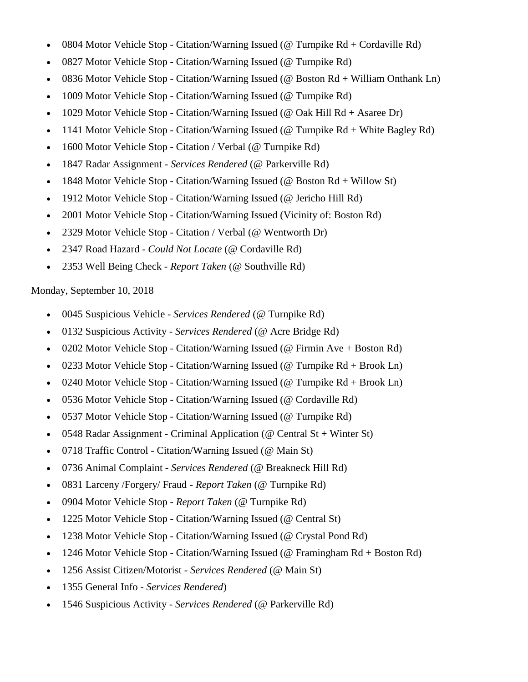- 0804 Motor Vehicle Stop Citation/Warning Issued ( $@$  Turnpike Rd + Cordaville Rd)
- 0827 Motor Vehicle Stop Citation/Warning Issued (@ Turnpike Rd)
- 0836 Motor Vehicle Stop Citation/Warning Issued (@ Boston Rd + William Onthank Ln)
- 1009 Motor Vehicle Stop Citation/Warning Issued (@ Turnpike Rd)
- 1029 Motor Vehicle Stop Citation/Warning Issued (@ Oak Hill Rd + Asaree Dr)
- 1141 Motor Vehicle Stop Citation/Warning Issued (@ Turnpike Rd + White Bagley Rd)
- 1600 Motor Vehicle Stop Citation / Verbal (@ Turnpike Rd)
- 1847 Radar Assignment *Services Rendered* (@ Parkerville Rd)
- 1848 Motor Vehicle Stop Citation/Warning Issued (@ Boston Rd + Willow St)
- 1912 Motor Vehicle Stop Citation/Warning Issued (@ Jericho Hill Rd)
- 2001 Motor Vehicle Stop Citation/Warning Issued (Vicinity of: Boston Rd)
- 2329 Motor Vehicle Stop Citation / Verbal (@ Wentworth Dr)
- 2347 Road Hazard *Could Not Locate* (@ Cordaville Rd)
- 2353 Well Being Check *Report Taken* (@ Southville Rd)

#### Monday, September 10, 2018

- 0045 Suspicious Vehicle *Services Rendered* (@ Turnpike Rd)
- 0132 Suspicious Activity *Services Rendered* (@ Acre Bridge Rd)
- 0202 Motor Vehicle Stop Citation/Warning Issued (@ Firmin Ave + Boston Rd)
- 0233 Motor Vehicle Stop Citation/Warning Issued (@ Turnpike Rd + Brook Ln)
- 0240 Motor Vehicle Stop Citation/Warning Issued ( $@$  Turnpike Rd + Brook Ln)
- 0536 Motor Vehicle Stop Citation/Warning Issued (@ Cordaville Rd)
- 0537 Motor Vehicle Stop Citation/Warning Issued (@ Turnpike Rd)
- 0548 Radar Assignment Criminal Application ( $\omega$  Central St + Winter St)
- 0718 Traffic Control Citation/Warning Issued (@ Main St)
- 0736 Animal Complaint *Services Rendered* (@ Breakneck Hill Rd)
- 0831 Larceny /Forgery/ Fraud *Report Taken* (@ Turnpike Rd)
- 0904 Motor Vehicle Stop *Report Taken* (@ Turnpike Rd)
- 1225 Motor Vehicle Stop Citation/Warning Issued (@ Central St)
- 1238 Motor Vehicle Stop Citation/Warning Issued (@ Crystal Pond Rd)
- 1246 Motor Vehicle Stop Citation/Warning Issued (@ Framingham Rd + Boston Rd)
- 1256 Assist Citizen/Motorist *Services Rendered* (@ Main St)
- 1355 General Info *Services Rendered*)
- 1546 Suspicious Activity *Services Rendered* (@ Parkerville Rd)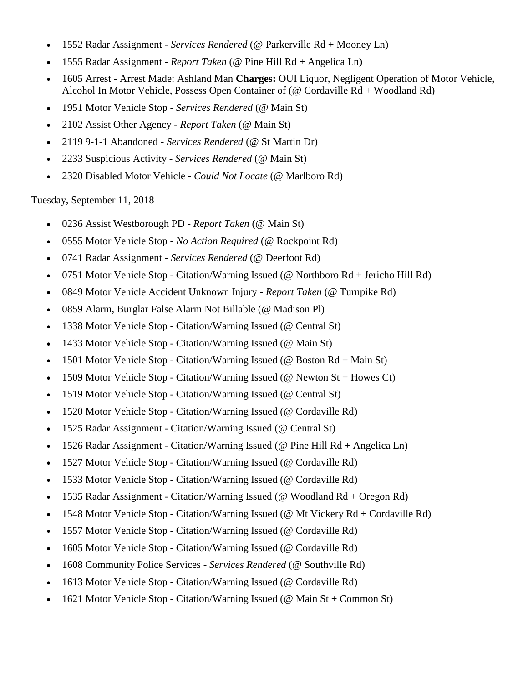- 1552 Radar Assignment *Services Rendered* (@ Parkerville Rd + Mooney Ln)
- 1555 Radar Assignment *Report Taken* (@ Pine Hill Rd + Angelica Ln)
- 1605 Arrest Arrest Made: Ashland Man **Charges:** OUI Liquor, Negligent Operation of Motor Vehicle, Alcohol In Motor Vehicle, Possess Open Container of (@ Cordaville Rd + Woodland Rd)
- 1951 Motor Vehicle Stop *Services Rendered* (@ Main St)
- 2102 Assist Other Agency *Report Taken* (@ Main St)
- 2119 9-1-1 Abandoned *Services Rendered* (@ St Martin Dr)
- 2233 Suspicious Activity *Services Rendered* (@ Main St)
- 2320 Disabled Motor Vehicle *Could Not Locate* (@ Marlboro Rd)

Tuesday, September 11, 2018

- 0236 Assist Westborough PD *Report Taken* (@ Main St)
- 0555 Motor Vehicle Stop *No Action Required* (@ Rockpoint Rd)
- 0741 Radar Assignment *Services Rendered* (@ Deerfoot Rd)
- 0751 Motor Vehicle Stop Citation/Warning Issued (@ Northboro Rd + Jericho Hill Rd)
- 0849 Motor Vehicle Accident Unknown Injury *Report Taken* (@ Turnpike Rd)
- 0859 Alarm, Burglar False Alarm Not Billable (@ Madison Pl)
- 1338 Motor Vehicle Stop Citation/Warning Issued (@ Central St)
- 1433 Motor Vehicle Stop Citation/Warning Issued (@ Main St)
- 1501 Motor Vehicle Stop Citation/Warning Issued ( $\omega$  Boston Rd + Main St)
- 1509 Motor Vehicle Stop Citation/Warning Issued ( $\omega$  Newton St + Howes Ct)
- 1519 Motor Vehicle Stop Citation/Warning Issued (@ Central St)
- 1520 Motor Vehicle Stop Citation/Warning Issued (@ Cordaville Rd)
- 1525 Radar Assignment Citation/Warning Issued (@ Central St)
- 1526 Radar Assignment Citation/Warning Issued (@ Pine Hill Rd + Angelica Ln)
- 1527 Motor Vehicle Stop Citation/Warning Issued (@ Cordaville Rd)
- 1533 Motor Vehicle Stop Citation/Warning Issued (@ Cordaville Rd)
- 1535 Radar Assignment Citation/Warning Issued (@ Woodland Rd + Oregon Rd)
- 1548 Motor Vehicle Stop Citation/Warning Issued (@ Mt Vickery Rd + Cordaville Rd)
- 1557 Motor Vehicle Stop Citation/Warning Issued (@ Cordaville Rd)
- 1605 Motor Vehicle Stop Citation/Warning Issued (@ Cordaville Rd)
- 1608 Community Police Services *Services Rendered* (@ Southville Rd)
- 1613 Motor Vehicle Stop Citation/Warning Issued (@ Cordaville Rd)
- 1621 Motor Vehicle Stop Citation/Warning Issued (@ Main St + Common St)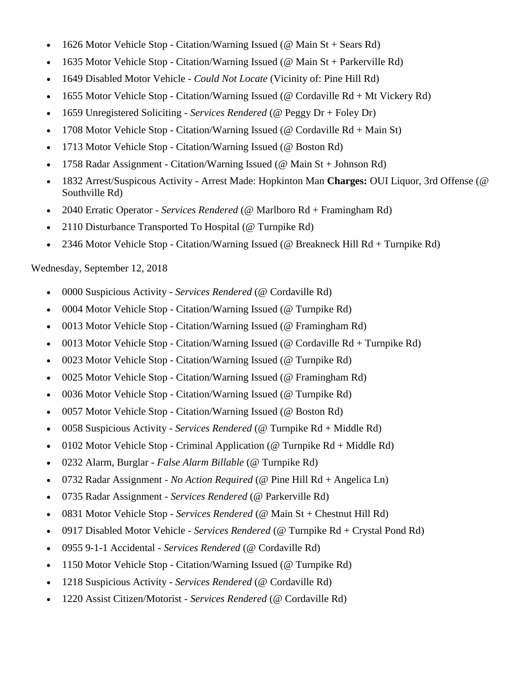- 1626 Motor Vehicle Stop Citation/Warning Issued ( $@$  Main St + Sears Rd)
- 1635 Motor Vehicle Stop Citation/Warning Issued (@ Main St + Parkerville Rd)
- 1649 Disabled Motor Vehicle *Could Not Locate* (Vicinity of: Pine Hill Rd)
- 1655 Motor Vehicle Stop Citation/Warning Issued (@ Cordaville Rd + Mt Vickery Rd)
- 1659 Unregistered Soliciting *Services Rendered* (@ Peggy Dr + Foley Dr)
- 1708 Motor Vehicle Stop Citation/Warning Issued (@ Cordaville Rd + Main St)
- 1713 Motor Vehicle Stop Citation/Warning Issued (@ Boston Rd)
- 1758 Radar Assignment Citation/Warning Issued (@ Main St + Johnson Rd)
- 1832 Arrest/Suspicous Activity Arrest Made: Hopkinton Man **Charges:** OUI Liquor, 3rd Offense (@ Southville Rd)
- 2040 Erratic Operator *Services Rendered* (@ Marlboro Rd + Framingham Rd)
- 2110 Disturbance Transported To Hospital (@ Turnpike Rd)
- 2346 Motor Vehicle Stop Citation/Warning Issued (@ Breakneck Hill Rd + Turnpike Rd)

Wednesday, September 12, 2018

- 0000 Suspicious Activity *Services Rendered* (@ Cordaville Rd)
- 0004 Motor Vehicle Stop Citation/Warning Issued (@ Turnpike Rd)
- 0013 Motor Vehicle Stop Citation/Warning Issued (@ Framingham Rd)
- 0013 Motor Vehicle Stop Citation/Warning Issued (@ Cordaville Rd + Turnpike Rd)
- 0023 Motor Vehicle Stop Citation/Warning Issued (@ Turnpike Rd)
- 0025 Motor Vehicle Stop Citation/Warning Issued (@ Framingham Rd)
- 0036 Motor Vehicle Stop Citation/Warning Issued (@ Turnpike Rd)
- 0057 Motor Vehicle Stop Citation/Warning Issued (@ Boston Rd)
- 0058 Suspicious Activity *Services Rendered* (@ Turnpike Rd + Middle Rd)
- 0102 Motor Vehicle Stop Criminal Application (@ Turnpike Rd + Middle Rd)
- 0232 Alarm, Burglar *False Alarm Billable* (@ Turnpike Rd)
- 0732 Radar Assignment *No Action Required* (@ Pine Hill Rd + Angelica Ln)
- 0735 Radar Assignment *Services Rendered* (@ Parkerville Rd)
- 0831 Motor Vehicle Stop *Services Rendered* (@ Main St + Chestnut Hill Rd)
- 0917 Disabled Motor Vehicle *Services Rendered* (@ Turnpike Rd + Crystal Pond Rd)
- 0955 9-1-1 Accidental *Services Rendered* (@ Cordaville Rd)
- 1150 Motor Vehicle Stop Citation/Warning Issued (@ Turnpike Rd)
- 1218 Suspicious Activity *Services Rendered* (@ Cordaville Rd)
- 1220 Assist Citizen/Motorist *Services Rendered* (@ Cordaville Rd)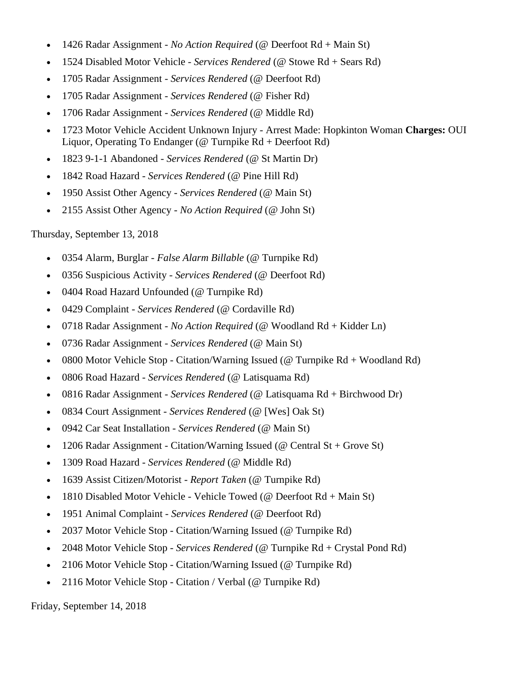- 1426 Radar Assignment *No Action Required* (@ Deerfoot Rd + Main St)
- 1524 Disabled Motor Vehicle *Services Rendered* (@ Stowe Rd + Sears Rd)
- 1705 Radar Assignment *Services Rendered* (@ Deerfoot Rd)
- 1705 Radar Assignment *Services Rendered* (@ Fisher Rd)
- 1706 Radar Assignment *Services Rendered* (@ Middle Rd)
- 1723 Motor Vehicle Accident Unknown Injury Arrest Made: Hopkinton Woman **Charges:** OUI Liquor, Operating To Endanger (@ Turnpike Rd + Deerfoot Rd)
- 1823 9-1-1 Abandoned *Services Rendered* (@ St Martin Dr)
- 1842 Road Hazard *Services Rendered* (@ Pine Hill Rd)
- 1950 Assist Other Agency *Services Rendered* (@ Main St)
- 2155 Assist Other Agency *No Action Required* (@ John St)

Thursday, September 13, 2018

- 0354 Alarm, Burglar *False Alarm Billable* (@ Turnpike Rd)
- 0356 Suspicious Activity *Services Rendered* (@ Deerfoot Rd)
- 0404 Road Hazard Unfounded (@ Turnpike Rd)
- 0429 Complaint *Services Rendered* (@ Cordaville Rd)
- 0718 Radar Assignment *No Action Required* (@ Woodland Rd + Kidder Ln)
- 0736 Radar Assignment *Services Rendered* (@ Main St)
- 0800 Motor Vehicle Stop Citation/Warning Issued ( $@$  Turnpike Rd + Woodland Rd)
- 0806 Road Hazard *Services Rendered* (@ Latisquama Rd)
- 0816 Radar Assignment *Services Rendered* (@ Latisquama Rd + Birchwood Dr)
- 0834 Court Assignment *Services Rendered* (@ [Wes] Oak St)
- 0942 Car Seat Installation *Services Rendered* (@ Main St)
- 1206 Radar Assignment Citation/Warning Issued (@ Central St + Grove St)
- 1309 Road Hazard *Services Rendered* (@ Middle Rd)
- 1639 Assist Citizen/Motorist *Report Taken* (@ Turnpike Rd)
- 1810 Disabled Motor Vehicle Vehicle Towed ( $@$  Deerfoot Rd + Main St)
- 1951 Animal Complaint *Services Rendered* (@ Deerfoot Rd)
- 2037 Motor Vehicle Stop Citation/Warning Issued (@ Turnpike Rd)
- 2048 Motor Vehicle Stop *Services Rendered* (@ Turnpike Rd + Crystal Pond Rd)
- 2106 Motor Vehicle Stop Citation/Warning Issued (@ Turnpike Rd)
- 2116 Motor Vehicle Stop Citation / Verbal (@ Turnpike Rd)

Friday, September 14, 2018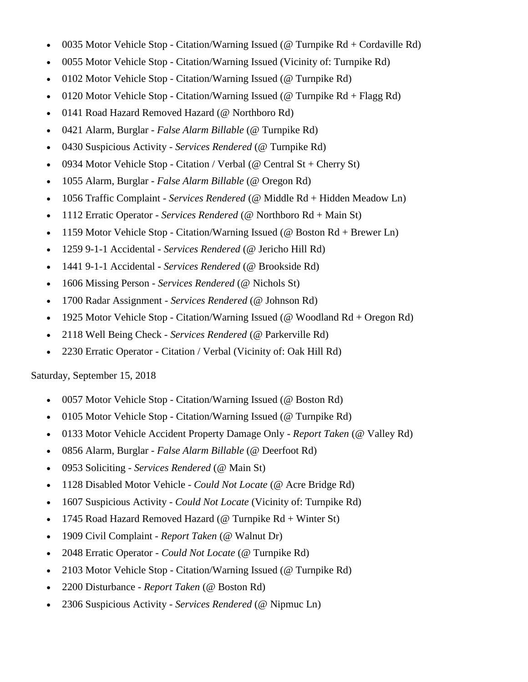- 0035 Motor Vehicle Stop Citation/Warning Issued ( $@$  Turnpike Rd + Cordaville Rd)
- 0055 Motor Vehicle Stop Citation/Warning Issued (Vicinity of: Turnpike Rd)
- 0102 Motor Vehicle Stop Citation/Warning Issued (@ Turnpike Rd)
- 0120 Motor Vehicle Stop Citation/Warning Issued (@ Turnpike  $Rd + Flagg Rd$ )
- 0141 Road Hazard Removed Hazard (@ Northboro Rd)
- 0421 Alarm, Burglar *False Alarm Billable* (@ Turnpike Rd)
- 0430 Suspicious Activity *Services Rendered* (@ Turnpike Rd)
- 0934 Motor Vehicle Stop Citation / Verbal (@ Central St + Cherry St)
- 1055 Alarm, Burglar *False Alarm Billable* (@ Oregon Rd)
- 1056 Traffic Complaint *Services Rendered* (@ Middle Rd + Hidden Meadow Ln)
- 1112 Erratic Operator *Services Rendered* (@ Northboro Rd + Main St)
- 1159 Motor Vehicle Stop Citation/Warning Issued (@ Boston Rd + Brewer Ln)
- 1259 9-1-1 Accidental *Services Rendered* (@ Jericho Hill Rd)
- 1441 9-1-1 Accidental *Services Rendered* (@ Brookside Rd)
- 1606 Missing Person *Services Rendered* (@ Nichols St)
- 1700 Radar Assignment *Services Rendered* (@ Johnson Rd)
- 1925 Motor Vehicle Stop Citation/Warning Issued (@ Woodland Rd + Oregon Rd)
- 2118 Well Being Check *Services Rendered* (@ Parkerville Rd)
- 2230 Erratic Operator Citation / Verbal (Vicinity of: Oak Hill Rd)

#### Saturday, September 15, 2018

- 0057 Motor Vehicle Stop Citation/Warning Issued (@ Boston Rd)
- 0105 Motor Vehicle Stop Citation/Warning Issued (@ Turnpike Rd)
- 0133 Motor Vehicle Accident Property Damage Only *Report Taken* (@ Valley Rd)
- 0856 Alarm, Burglar *False Alarm Billable* (@ Deerfoot Rd)
- 0953 Soliciting *Services Rendered* (@ Main St)
- 1128 Disabled Motor Vehicle *Could Not Locate* (@ Acre Bridge Rd)
- 1607 Suspicious Activity *Could Not Locate* (Vicinity of: Turnpike Rd)
- 1745 Road Hazard Removed Hazard (@ Turnpike  $Rd + Winter St$ )
- 1909 Civil Complaint *Report Taken* (@ Walnut Dr)
- 2048 Erratic Operator *Could Not Locate* (@ Turnpike Rd)
- 2103 Motor Vehicle Stop Citation/Warning Issued (@ Turnpike Rd)
- 2200 Disturbance *Report Taken* (@ Boston Rd)
- 2306 Suspicious Activity *Services Rendered* (@ Nipmuc Ln)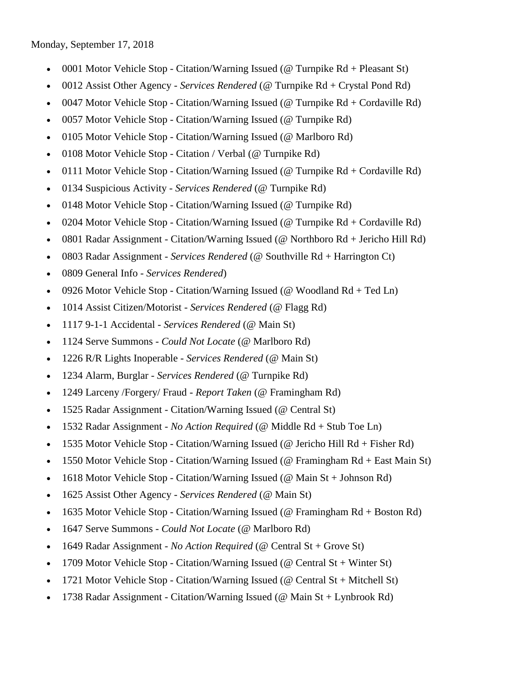Monday, September 17, 2018

- 0001 Motor Vehicle Stop Citation/Warning Issued (@ Turnpike  $Rd + P$ leasant St)
- 0012 Assist Other Agency *Services Rendered* (@ Turnpike Rd + Crystal Pond Rd)
- 0047 Motor Vehicle Stop Citation/Warning Issued (@ Turnpike Rd + Cordaville Rd)
- 0057 Motor Vehicle Stop Citation/Warning Issued (@ Turnpike Rd)
- 0105 Motor Vehicle Stop Citation/Warning Issued (@ Marlboro Rd)
- 0108 Motor Vehicle Stop Citation / Verbal (@ Turnpike Rd)
- 0111 Motor Vehicle Stop Citation/Warning Issued ( $@$  Turnpike Rd + Cordaville Rd)
- 0134 Suspicious Activity *Services Rendered* (@ Turnpike Rd)
- 0148 Motor Vehicle Stop Citation/Warning Issued (@ Turnpike Rd)
- 0204 Motor Vehicle Stop Citation/Warning Issued (@ Turnpike Rd + Cordaville Rd)
- 0801 Radar Assignment Citation/Warning Issued (@ Northboro Rd + Jericho Hill Rd)
- 0803 Radar Assignment *Services Rendered* (@ Southville Rd + Harrington Ct)
- 0809 General Info *Services Rendered*)
- 0926 Motor Vehicle Stop Citation/Warning Issued ( $@$  Woodland Rd + Ted Ln)
- 1014 Assist Citizen/Motorist *Services Rendered* (@ Flagg Rd)
- 1117 9-1-1 Accidental *Services Rendered* (@ Main St)
- 1124 Serve Summons *Could Not Locate* (@ Marlboro Rd)
- 1226 R/R Lights Inoperable *Services Rendered* (@ Main St)
- 1234 Alarm, Burglar *Services Rendered* (@ Turnpike Rd)
- 1249 Larceny /Forgery/ Fraud *Report Taken* (@ Framingham Rd)
- 1525 Radar Assignment Citation/Warning Issued (@ Central St)
- 1532 Radar Assignment *No Action Required* (@ Middle Rd + Stub Toe Ln)
- 1535 Motor Vehicle Stop Citation/Warning Issued (@ Jericho Hill Rd + Fisher Rd)
- 1550 Motor Vehicle Stop Citation/Warning Issued (@ Framingham Rd + East Main St)
- 1618 Motor Vehicle Stop Citation/Warning Issued (@ Main St + Johnson Rd)
- 1625 Assist Other Agency *Services Rendered* (@ Main St)
- 1635 Motor Vehicle Stop Citation/Warning Issued (@ Framingham Rd + Boston Rd)
- 1647 Serve Summons *Could Not Locate* (@ Marlboro Rd)
- 1649 Radar Assignment *No Action Required* (@ Central St + Grove St)
- 1709 Motor Vehicle Stop Citation/Warning Issued (@ Central St + Winter St)
- 1721 Motor Vehicle Stop Citation/Warning Issued (@ Central St + Mitchell St)
- 1738 Radar Assignment Citation/Warning Issued ( $@$  Main St + Lynbrook Rd)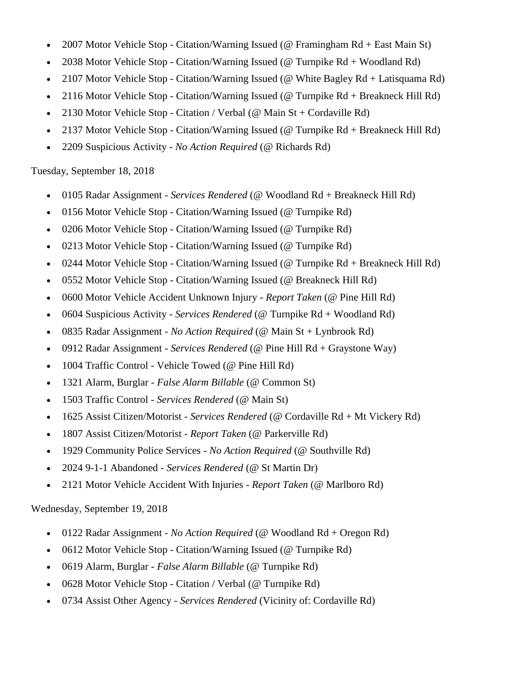- 2007 Motor Vehicle Stop Citation/Warning Issued (@ Framingham Rd + East Main St)
- 2038 Motor Vehicle Stop Citation/Warning Issued (@ Turnpike Rd + Woodland Rd)
- 2107 Motor Vehicle Stop Citation/Warning Issued (@ White Bagley Rd + Latisquama Rd)
- 2116 Motor Vehicle Stop Citation/Warning Issued (@ Turnpike Rd + Breakneck Hill Rd)
- 2130 Motor Vehicle Stop Citation / Verbal (@ Main St + Cordaville Rd)
- 2137 Motor Vehicle Stop Citation/Warning Issued (@ Turnpike Rd + Breakneck Hill Rd)
- 2209 Suspicious Activity *No Action Required* (@ Richards Rd)

# Tuesday, September 18, 2018

- 0105 Radar Assignment *Services Rendered* (@ Woodland Rd + Breakneck Hill Rd)
- 0156 Motor Vehicle Stop Citation/Warning Issued (@ Turnpike Rd)
- 0206 Motor Vehicle Stop Citation/Warning Issued (@ Turnpike Rd)
- 0213 Motor Vehicle Stop Citation/Warning Issued (@ Turnpike Rd)
- 0244 Motor Vehicle Stop Citation/Warning Issued (@ Turnpike Rd + Breakneck Hill Rd)
- 0552 Motor Vehicle Stop Citation/Warning Issued (@ Breakneck Hill Rd)
- 0600 Motor Vehicle Accident Unknown Injury *Report Taken* (@ Pine Hill Rd)
- 0604 Suspicious Activity *Services Rendered* (@ Turnpike Rd + Woodland Rd)
- 0835 Radar Assignment *No Action Required* (@ Main St + Lynbrook Rd)
- 0912 Radar Assignment *Services Rendered* (@ Pine Hill Rd + Graystone Way)
- 1004 Traffic Control Vehicle Towed (@ Pine Hill Rd)
- 1321 Alarm, Burglar *False Alarm Billable* (@ Common St)
- 1503 Traffic Control *Services Rendered* (@ Main St)
- 1625 Assist Citizen/Motorist *Services Rendered* (@ Cordaville Rd + Mt Vickery Rd)
- 1807 Assist Citizen/Motorist *Report Taken* (@ Parkerville Rd)
- 1929 Community Police Services *No Action Required* (@ Southville Rd)
- 2024 9-1-1 Abandoned *Services Rendered* (@ St Martin Dr)
- 2121 Motor Vehicle Accident With Injuries *Report Taken* (@ Marlboro Rd)

# Wednesday, September 19, 2018

- 0122 Radar Assignment *No Action Required* (@ Woodland Rd + Oregon Rd)
- 0612 Motor Vehicle Stop Citation/Warning Issued (@ Turnpike Rd)
- 0619 Alarm, Burglar *False Alarm Billable* (@ Turnpike Rd)
- 0628 Motor Vehicle Stop Citation / Verbal (@ Turnpike Rd)
- 0734 Assist Other Agency *Services Rendered* (Vicinity of: Cordaville Rd)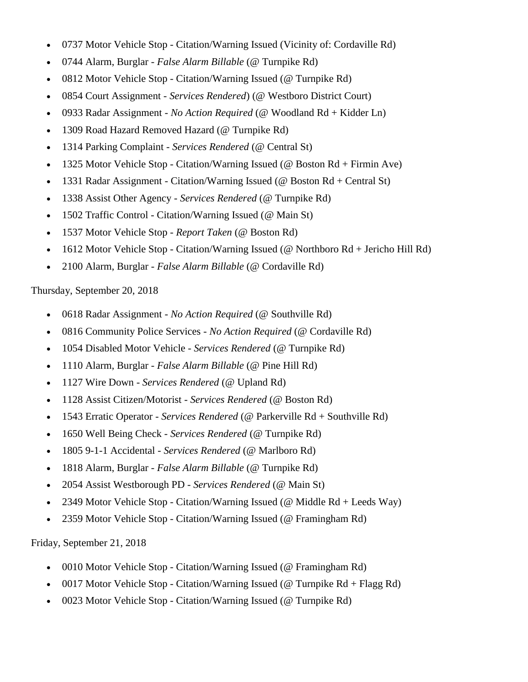- 0737 Motor Vehicle Stop Citation/Warning Issued (Vicinity of: Cordaville Rd)
- 0744 Alarm, Burglar *False Alarm Billable* (@ Turnpike Rd)
- 0812 Motor Vehicle Stop Citation/Warning Issued (@ Turnpike Rd)
- 0854 Court Assignment *Services Rendered*) (@ Westboro District Court)
- 0933 Radar Assignment *No Action Required* (@ Woodland Rd + Kidder Ln)
- 1309 Road Hazard Removed Hazard (@ Turnpike Rd)
- 1314 Parking Complaint *Services Rendered* (@ Central St)
- 1325 Motor Vehicle Stop Citation/Warning Issued (@ Boston Rd + Firmin Ave)
- 1331 Radar Assignment Citation/Warning Issued (@ Boston Rd + Central St)
- 1338 Assist Other Agency *Services Rendered* (@ Turnpike Rd)
- 1502 Traffic Control Citation/Warning Issued (@ Main St)
- 1537 Motor Vehicle Stop *Report Taken* (@ Boston Rd)
- 1612 Motor Vehicle Stop Citation/Warning Issued (@ Northboro Rd + Jericho Hill Rd)
- 2100 Alarm, Burglar *False Alarm Billable* (@ Cordaville Rd)

# Thursday, September 20, 2018

- 0618 Radar Assignment *No Action Required* (@ Southville Rd)
- 0816 Community Police Services *No Action Required* (@ Cordaville Rd)
- 1054 Disabled Motor Vehicle *Services Rendered* (@ Turnpike Rd)
- 1110 Alarm, Burglar *False Alarm Billable* (@ Pine Hill Rd)
- 1127 Wire Down *Services Rendered* (@ Upland Rd)
- 1128 Assist Citizen/Motorist *Services Rendered* (@ Boston Rd)
- 1543 Erratic Operator *Services Rendered* (@ Parkerville Rd + Southville Rd)
- 1650 Well Being Check *Services Rendered* (@ Turnpike Rd)
- 1805 9-1-1 Accidental *Services Rendered* (@ Marlboro Rd)
- 1818 Alarm, Burglar *False Alarm Billable* (@ Turnpike Rd)
- 2054 Assist Westborough PD *Services Rendered* (@ Main St)
- 2349 Motor Vehicle Stop Citation/Warning Issued (@ Middle Rd + Leeds Way)
- 2359 Motor Vehicle Stop Citation/Warning Issued (@ Framingham Rd)

Friday, September 21, 2018

- 0010 Motor Vehicle Stop Citation/Warning Issued (@ Framingham Rd)
- 0017 Motor Vehicle Stop Citation/Warning Issued (@ Turnpike Rd + Flagg Rd)
- 0023 Motor Vehicle Stop Citation/Warning Issued (@ Turnpike Rd)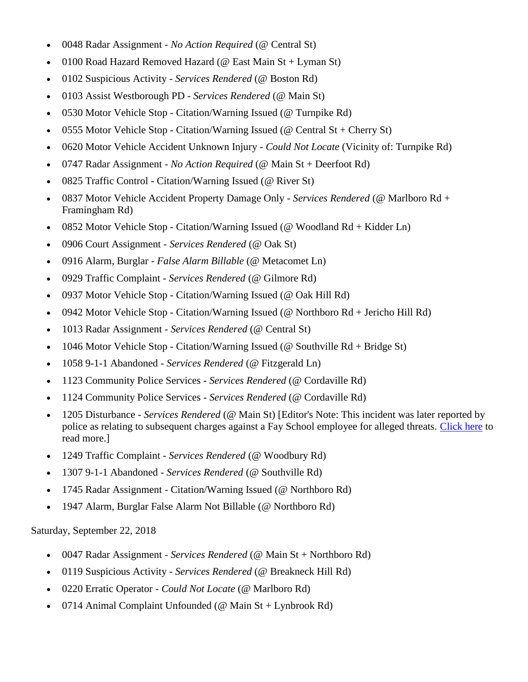- 0048 Radar Assignment *No Action Required* (@ Central St)
- 0100 Road Hazard Removed Hazard (@ East Main St + Lyman St)
- 0102 Suspicious Activity *Services Rendered* (@ Boston Rd)
- 0103 Assist Westborough PD *Services Rendered* (@ Main St)
- 0530 Motor Vehicle Stop Citation/Warning Issued (@ Turnpike Rd)
- 0555 Motor Vehicle Stop Citation/Warning Issued (@ Central St + Cherry St)
- 0620 Motor Vehicle Accident Unknown Injury *Could Not Locate* (Vicinity of: Turnpike Rd)
- 0747 Radar Assignment *No Action Required* (@ Main St + Deerfoot Rd)
- 0825 Traffic Control Citation/Warning Issued (@ River St)
- 0837 Motor Vehicle Accident Property Damage Only *Services Rendered* (@ Marlboro Rd + Framingham Rd)
- 0852 Motor Vehicle Stop Citation/Warning Issued (@ Woodland Rd + Kidder Ln)
- 0906 Court Assignment *Services Rendered* (@ Oak St)
- 0916 Alarm, Burglar *False Alarm Billable* (@ Metacomet Ln)
- 0929 Traffic Complaint *Services Rendered* (@ Gilmore Rd)
- 0937 Motor Vehicle Stop Citation/Warning Issued (@ Oak Hill Rd)
- 0942 Motor Vehicle Stop Citation/Warning Issued (@ Northboro Rd + Jericho Hill Rd)
- 1013 Radar Assignment *Services Rendered* (@ Central St)
- 1046 Motor Vehicle Stop Citation/Warning Issued (@ Southville  $Rd + Bridge St$ )
- 1058 9-1-1 Abandoned *Services Rendered* (@ Fitzgerald Ln)
- 1123 Community Police Services *Services Rendered* (@ Cordaville Rd)
- 1124 Community Police Services *Services Rendered* (@ Cordaville Rd)
- 1205 Disturbance *Services Rendered* (@ Main St) [Editor's Note: This incident was later reported by police as relating to subsequent charges against a Fay School employee for alleged threats. [Click here](http://www.mysouthborough.com/2018/09/27/fay-school-employee-arrested-for-making-threats/) to read more.]
- 1249 Traffic Complaint *Services Rendered* (@ Woodbury Rd)
- 1307 9-1-1 Abandoned *Services Rendered* (@ Southville Rd)
- 1745 Radar Assignment Citation/Warning Issued (@ Northboro Rd)
- 1947 Alarm, Burglar False Alarm Not Billable (@ Northboro Rd)

Saturday, September 22, 2018

- 0047 Radar Assignment *Services Rendered* (@ Main St + Northboro Rd)
- 0119 Suspicious Activity *Services Rendered* (@ Breakneck Hill Rd)
- 0220 Erratic Operator *Could Not Locate* (@ Marlboro Rd)
- 0714 Animal Complaint Unfounded (@ Main St + Lynbrook Rd)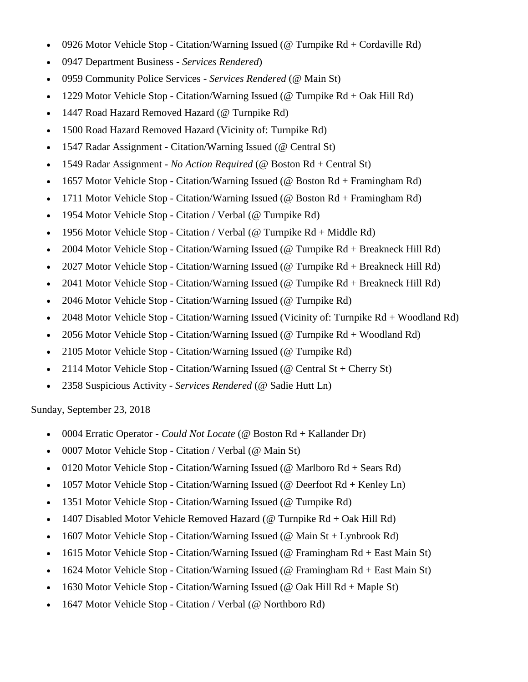- 0926 Motor Vehicle Stop Citation/Warning Issued (@ Turnpike  $Rd + Cordaville Rd$ )
- 0947 Department Business *Services Rendered*)
- 0959 Community Police Services *Services Rendered* (@ Main St)
- 1229 Motor Vehicle Stop Citation/Warning Issued (@ Turnpike Rd + Oak Hill Rd)
- 1447 Road Hazard Removed Hazard (@ Turnpike Rd)
- 1500 Road Hazard Removed Hazard (Vicinity of: Turnpike Rd)
- 1547 Radar Assignment Citation/Warning Issued (@ Central St)
- 1549 Radar Assignment *No Action Required* (@ Boston Rd + Central St)
- 1657 Motor Vehicle Stop Citation/Warning Issued (@ Boston Rd + Framingham Rd)
- 1711 Motor Vehicle Stop Citation/Warning Issued (@ Boston Rd + Framingham Rd)
- 1954 Motor Vehicle Stop Citation / Verbal (@ Turnpike Rd)
- 1956 Motor Vehicle Stop Citation / Verbal (@ Turnpike Rd + Middle Rd)
- 2004 Motor Vehicle Stop Citation/Warning Issued (@ Turnpike Rd + Breakneck Hill Rd)
- 2027 Motor Vehicle Stop Citation/Warning Issued (@ Turnpike Rd + Breakneck Hill Rd)
- 2041 Motor Vehicle Stop Citation/Warning Issued (@ Turnpike Rd + Breakneck Hill Rd)
- 2046 Motor Vehicle Stop Citation/Warning Issued (@ Turnpike Rd)
- 2048 Motor Vehicle Stop Citation/Warning Issued (Vicinity of: Turnpike Rd + Woodland Rd)
- 2056 Motor Vehicle Stop Citation/Warning Issued (@ Turnpike Rd + Woodland Rd)
- 2105 Motor Vehicle Stop Citation/Warning Issued (@ Turnpike Rd)
- 2114 Motor Vehicle Stop Citation/Warning Issued (@ Central St + Cherry St)
- 2358 Suspicious Activity *Services Rendered* (@ Sadie Hutt Ln)

Sunday, September 23, 2018

- 0004 Erratic Operator *Could Not Locate* (@ Boston Rd + Kallander Dr)
- 0007 Motor Vehicle Stop Citation / Verbal (@ Main St)
- 0120 Motor Vehicle Stop Citation/Warning Issued (@ Marlboro Rd + Sears Rd)
- 1057 Motor Vehicle Stop Citation/Warning Issued (@ Deerfoot Rd + Kenley Ln)
- 1351 Motor Vehicle Stop Citation/Warning Issued (@ Turnpike Rd)
- 1407 Disabled Motor Vehicle Removed Hazard (@ Turnpike Rd + Oak Hill Rd)
- 1607 Motor Vehicle Stop Citation/Warning Issued (@ Main St + Lynbrook Rd)
- 1615 Motor Vehicle Stop Citation/Warning Issued (@ Framingham Rd + East Main St)
- 1624 Motor Vehicle Stop Citation/Warning Issued (@ Framingham Rd + East Main St)
- 1630 Motor Vehicle Stop Citation/Warning Issued (@ Oak Hill  $Rd + Maple St$ )
- 1647 Motor Vehicle Stop Citation / Verbal (@ Northboro Rd)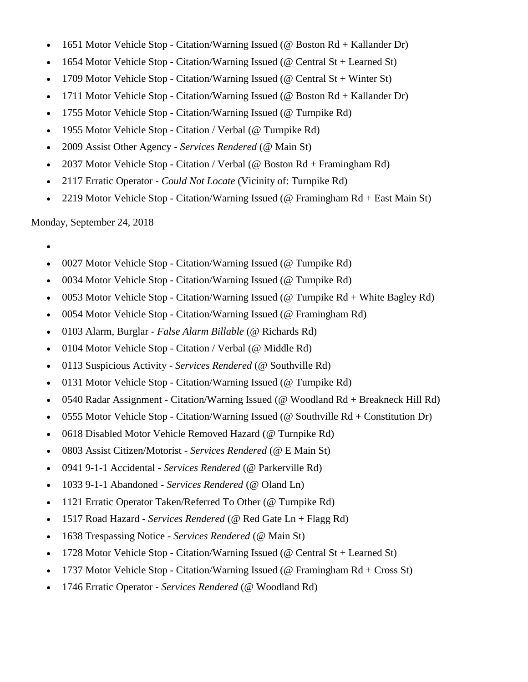- 1651 Motor Vehicle Stop Citation/Warning Issued (@ Boston Rd + Kallander Dr)
- 1654 Motor Vehicle Stop Citation/Warning Issued (@ Central St + Learned St)
- 1709 Motor Vehicle Stop Citation/Warning Issued (@ Central St + Winter St)
- 1711 Motor Vehicle Stop Citation/Warning Issued (@ Boston Rd + Kallander Dr)
- 1755 Motor Vehicle Stop Citation/Warning Issued (@ Turnpike Rd)
- 1955 Motor Vehicle Stop Citation / Verbal (@ Turnpike Rd)
- 2009 Assist Other Agency *Services Rendered* (@ Main St)
- 2037 Motor Vehicle Stop Citation / Verbal (@ Boston Rd + Framingham Rd)
- 2117 Erratic Operator *Could Not Locate* (Vicinity of: Turnpike Rd)
- 2219 Motor Vehicle Stop Citation/Warning Issued (@ Framingham Rd + East Main St)

Monday, September 24, 2018

- $\bullet$
- 0027 Motor Vehicle Stop Citation/Warning Issued (@ Turnpike Rd)
- 0034 Motor Vehicle Stop Citation/Warning Issued (@ Turnpike Rd)
- 0053 Motor Vehicle Stop Citation/Warning Issued (@ Turnpike Rd + White Bagley Rd)
- 0054 Motor Vehicle Stop Citation/Warning Issued (@ Framingham Rd)
- 0103 Alarm, Burglar *False Alarm Billable* (@ Richards Rd)
- 0104 Motor Vehicle Stop Citation / Verbal (@ Middle Rd)
- 0113 Suspicious Activity *Services Rendered* (@ Southville Rd)
- 0131 Motor Vehicle Stop Citation/Warning Issued (@ Turnpike Rd)
- 0540 Radar Assignment Citation/Warning Issued (@ Woodland Rd + Breakneck Hill Rd)
- 0555 Motor Vehicle Stop Citation/Warning Issued ( $@$  Southville  $Rd +$ Constitution Dr)
- 0618 Disabled Motor Vehicle Removed Hazard (@ Turnpike Rd)
- 0803 Assist Citizen/Motorist *Services Rendered* (@ E Main St)
- 0941 9-1-1 Accidental *Services Rendered* (@ Parkerville Rd)
- 1033 9-1-1 Abandoned *Services Rendered* (@ Oland Ln)
- 1121 Erratic Operator Taken/Referred To Other (@ Turnpike Rd)
- 1517 Road Hazard *Services Rendered* (@ Red Gate Ln + Flagg Rd)
- 1638 Trespassing Notice *Services Rendered* (@ Main St)
- 1728 Motor Vehicle Stop Citation/Warning Issued (@ Central St + Learned St)
- 1737 Motor Vehicle Stop Citation/Warning Issued (@ Framingham Rd + Cross St)
- 1746 Erratic Operator *Services Rendered* (@ Woodland Rd)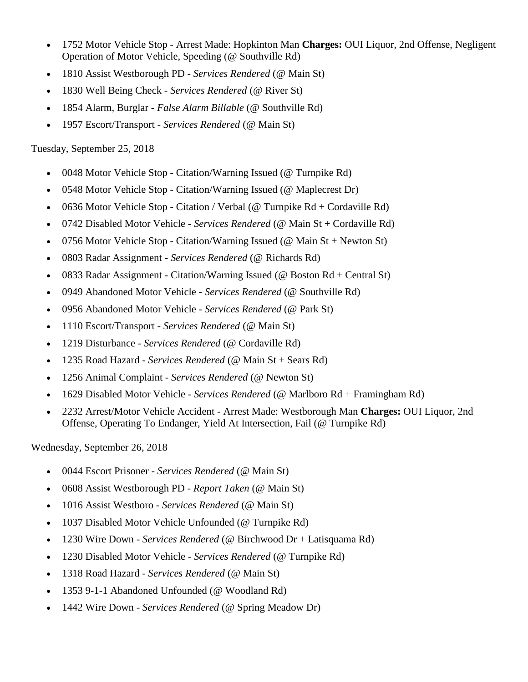- 1752 Motor Vehicle Stop Arrest Made: Hopkinton Man **Charges:** OUI Liquor, 2nd Offense, Negligent Operation of Motor Vehicle, Speeding (@ Southville Rd)
- 1810 Assist Westborough PD *Services Rendered* (@ Main St)
- 1830 Well Being Check *Services Rendered* (@ River St)
- 1854 Alarm, Burglar *False Alarm Billable* (@ Southville Rd)
- 1957 Escort/Transport *Services Rendered* (@ Main St)

# Tuesday, September 25, 2018

- 0048 Motor Vehicle Stop Citation/Warning Issued (@ Turnpike Rd)
- 0548 Motor Vehicle Stop Citation/Warning Issued (@ Maplecrest Dr)
- 0636 Motor Vehicle Stop Citation / Verbal (@ Turnpike Rd + Cordaville Rd)
- 0742 Disabled Motor Vehicle *Services Rendered* (@ Main St + Cordaville Rd)
- 0756 Motor Vehicle Stop Citation/Warning Issued (@ Main St + Newton St)
- 0803 Radar Assignment *Services Rendered* (@ Richards Rd)
- 0833 Radar Assignment Citation/Warning Issued (@ Boston Rd + Central St)
- 0949 Abandoned Motor Vehicle *Services Rendered* (@ Southville Rd)
- 0956 Abandoned Motor Vehicle *Services Rendered* (@ Park St)
- 1110 Escort/Transport *Services Rendered* (@ Main St)
- 1219 Disturbance *Services Rendered* (@ Cordaville Rd)
- 1235 Road Hazard *Services Rendered* (@ Main St + Sears Rd)
- 1256 Animal Complaint *Services Rendered* (@ Newton St)
- 1629 Disabled Motor Vehicle *Services Rendered* (@ Marlboro Rd + Framingham Rd)
- 2232 Arrest/Motor Vehicle Accident Arrest Made: Westborough Man **Charges:** OUI Liquor, 2nd Offense, Operating To Endanger, Yield At Intersection, Fail (@ Turnpike Rd)

Wednesday, September 26, 2018

- 0044 Escort Prisoner *Services Rendered* (@ Main St)
- 0608 Assist Westborough PD *Report Taken* (@ Main St)
- 1016 Assist Westboro *Services Rendered* (@ Main St)
- 1037 Disabled Motor Vehicle Unfounded (@ Turnpike Rd)
- 1230 Wire Down *Services Rendered* (@ Birchwood Dr + Latisquama Rd)
- 1230 Disabled Motor Vehicle *Services Rendered* (@ Turnpike Rd)
- 1318 Road Hazard *Services Rendered* (@ Main St)
- 1353 9-1-1 Abandoned Unfounded (@ Woodland Rd)
- 1442 Wire Down *Services Rendered* (@ Spring Meadow Dr)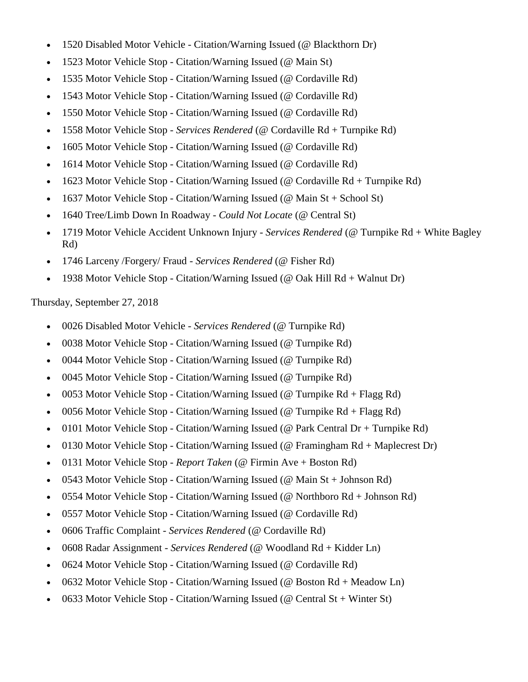- 1520 Disabled Motor Vehicle Citation/Warning Issued (@ Blackthorn Dr)
- 1523 Motor Vehicle Stop Citation/Warning Issued (@ Main St)
- 1535 Motor Vehicle Stop Citation/Warning Issued (@ Cordaville Rd)
- 1543 Motor Vehicle Stop Citation/Warning Issued (@ Cordaville Rd)
- 1550 Motor Vehicle Stop Citation/Warning Issued (@ Cordaville Rd)
- 1558 Motor Vehicle Stop *Services Rendered* (@ Cordaville Rd + Turnpike Rd)
- 1605 Motor Vehicle Stop Citation/Warning Issued (@ Cordaville Rd)
- 1614 Motor Vehicle Stop Citation/Warning Issued (@ Cordaville Rd)
- 1623 Motor Vehicle Stop Citation/Warning Issued (@ Cordaville Rd + Turnpike Rd)
- 1637 Motor Vehicle Stop Citation/Warning Issued (@ Main St + School St)
- 1640 Tree/Limb Down In Roadway *Could Not Locate* (@ Central St)
- 1719 Motor Vehicle Accident Unknown Injury *Services Rendered* (@ Turnpike Rd + White Bagley Rd)
- 1746 Larceny /Forgery/ Fraud *Services Rendered* (@ Fisher Rd)
- 1938 Motor Vehicle Stop Citation/Warning Issued (@ Oak Hill Rd + Walnut Dr)

Thursday, September 27, 2018

- 0026 Disabled Motor Vehicle *Services Rendered* (@ Turnpike Rd)
- 0038 Motor Vehicle Stop Citation/Warning Issued (@ Turnpike Rd)
- 0044 Motor Vehicle Stop Citation/Warning Issued (@ Turnpike Rd)
- 0045 Motor Vehicle Stop Citation/Warning Issued (@ Turnpike Rd)
- 0053 Motor Vehicle Stop Citation/Warning Issued (@ Turnpike  $Rd + Flagg Rd$ )
- 0056 Motor Vehicle Stop Citation/Warning Issued (@ Turnpike Rd + Flagg Rd)
- 0101 Motor Vehicle Stop Citation/Warning Issued (@ Park Central Dr + Turnpike Rd)
- 0130 Motor Vehicle Stop Citation/Warning Issued (@ Framingham Rd + Maplecrest Dr)
- 0131 Motor Vehicle Stop *Report Taken* (@ Firmin Ave + Boston Rd)
- 0543 Motor Vehicle Stop Citation/Warning Issued (@ Main St + Johnson Rd)
- 0554 Motor Vehicle Stop Citation/Warning Issued (@ Northboro Rd + Johnson Rd)
- 0557 Motor Vehicle Stop Citation/Warning Issued (@ Cordaville Rd)
- 0606 Traffic Complaint *Services Rendered* (@ Cordaville Rd)
- 0608 Radar Assignment *Services Rendered* (@ Woodland Rd + Kidder Ln)
- 0624 Motor Vehicle Stop Citation/Warning Issued (@ Cordaville Rd)
- 0632 Motor Vehicle Stop Citation/Warning Issued (@ Boston Rd + Meadow Ln)
- 0633 Motor Vehicle Stop Citation/Warning Issued (@ Central St + Winter St)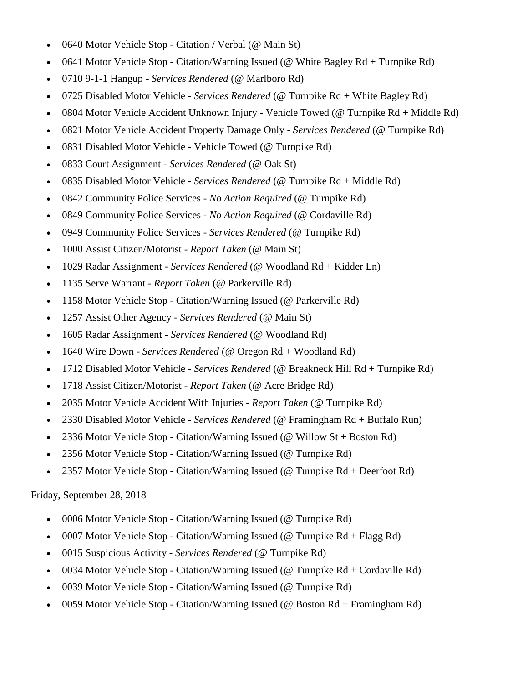- 0640 Motor Vehicle Stop Citation / Verbal (@ Main St)
- 0641 Motor Vehicle Stop Citation/Warning Issued (@ White Bagley Rd + Turnpike Rd)
- 0710 9-1-1 Hangup *Services Rendered* (@ Marlboro Rd)
- 0725 Disabled Motor Vehicle *Services Rendered* (@ Turnpike Rd + White Bagley Rd)
- 0804 Motor Vehicle Accident Unknown Injury Vehicle Towed (@ Turnpike Rd + Middle Rd)
- 0821 Motor Vehicle Accident Property Damage Only *Services Rendered* (@ Turnpike Rd)
- 0831 Disabled Motor Vehicle Vehicle Towed (@ Turnpike Rd)
- 0833 Court Assignment *Services Rendered* (@ Oak St)
- 0835 Disabled Motor Vehicle *Services Rendered* (@ Turnpike Rd + Middle Rd)
- 0842 Community Police Services *No Action Required* (@ Turnpike Rd)
- 0849 Community Police Services *No Action Required* (@ Cordaville Rd)
- 0949 Community Police Services *Services Rendered* (@ Turnpike Rd)
- 1000 Assist Citizen/Motorist *Report Taken* (@ Main St)
- 1029 Radar Assignment *Services Rendered* (@ Woodland Rd + Kidder Ln)
- 1135 Serve Warrant *Report Taken* (@ Parkerville Rd)
- 1158 Motor Vehicle Stop Citation/Warning Issued (@ Parkerville Rd)
- 1257 Assist Other Agency *Services Rendered* (@ Main St)
- 1605 Radar Assignment *Services Rendered* (@ Woodland Rd)
- 1640 Wire Down *Services Rendered* (@ Oregon Rd + Woodland Rd)
- 1712 Disabled Motor Vehicle *Services Rendered* (@ Breakneck Hill Rd + Turnpike Rd)
- 1718 Assist Citizen/Motorist *Report Taken* (@ Acre Bridge Rd)
- 2035 Motor Vehicle Accident With Injuries *Report Taken* (@ Turnpike Rd)
- 2330 Disabled Motor Vehicle *Services Rendered* (@ Framingham Rd + Buffalo Run)
- 2336 Motor Vehicle Stop Citation/Warning Issued (@ Willow St + Boston Rd)
- 2356 Motor Vehicle Stop Citation/Warning Issued (@ Turnpike Rd)
- 2357 Motor Vehicle Stop Citation/Warning Issued (@ Turnpike Rd + Deerfoot Rd)

#### Friday, September 28, 2018

- 0006 Motor Vehicle Stop Citation/Warning Issued (@ Turnpike Rd)
- 0007 Motor Vehicle Stop Citation/Warning Issued (@ Turnpike Rd + Flagg Rd)
- 0015 Suspicious Activity *Services Rendered* (@ Turnpike Rd)
- 0034 Motor Vehicle Stop Citation/Warning Issued (@ Turnpike Rd + Cordaville Rd)
- 0039 Motor Vehicle Stop Citation/Warning Issued (@ Turnpike Rd)
- 0059 Motor Vehicle Stop Citation/Warning Issued (@ Boston Rd + Framingham Rd)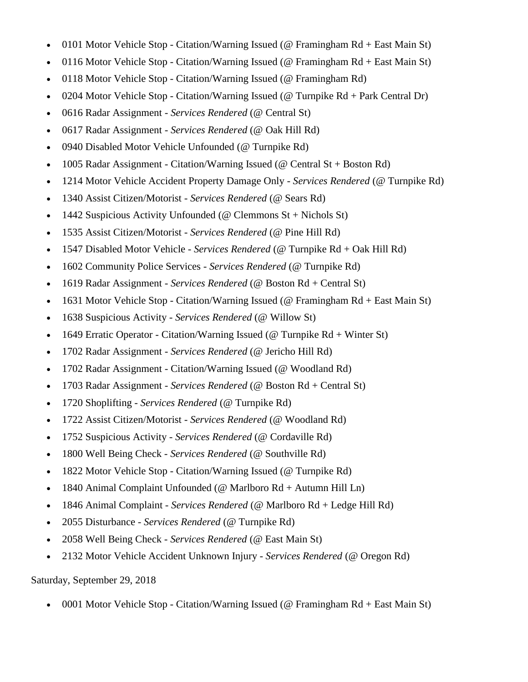- 0101 Motor Vehicle Stop Citation/Warning Issued (@ Framingham Rd + East Main St)
- 0116 Motor Vehicle Stop Citation/Warning Issued (@ Framingham Rd + East Main St)
- 0118 Motor Vehicle Stop Citation/Warning Issued (@ Framingham Rd)
- 0204 Motor Vehicle Stop Citation/Warning Issued (@ Turnpike  $Rd + Park$  Central Dr)
- 0616 Radar Assignment *Services Rendered* (@ Central St)
- 0617 Radar Assignment *Services Rendered* (@ Oak Hill Rd)
- 0940 Disabled Motor Vehicle Unfounded (@ Turnpike Rd)
- 1005 Radar Assignment Citation/Warning Issued (@ Central St + Boston Rd)
- 1214 Motor Vehicle Accident Property Damage Only *Services Rendered* (@ Turnpike Rd)
- 1340 Assist Citizen/Motorist *Services Rendered* (@ Sears Rd)
- 1442 Suspicious Activity Unfounded ( $@$  Clemmons St + Nichols St)
- 1535 Assist Citizen/Motorist *Services Rendered* (@ Pine Hill Rd)
- 1547 Disabled Motor Vehicle *Services Rendered* (@ Turnpike Rd + Oak Hill Rd)
- 1602 Community Police Services *Services Rendered* (@ Turnpike Rd)
- 1619 Radar Assignment *Services Rendered* (@ Boston Rd + Central St)
- 1631 Motor Vehicle Stop Citation/Warning Issued (@ Framingham Rd + East Main St)
- 1638 Suspicious Activity *Services Rendered* (@ Willow St)
- 1649 Erratic Operator Citation/Warning Issued ( $\omega$  Turnpike Rd + Winter St)
- 1702 Radar Assignment *Services Rendered* (@ Jericho Hill Rd)
- 1702 Radar Assignment Citation/Warning Issued (@ Woodland Rd)
- 1703 Radar Assignment *Services Rendered* (@ Boston Rd + Central St)
- 1720 Shoplifting *Services Rendered* (@ Turnpike Rd)
- 1722 Assist Citizen/Motorist *Services Rendered* (@ Woodland Rd)
- 1752 Suspicious Activity *Services Rendered* (@ Cordaville Rd)
- 1800 Well Being Check *Services Rendered* (@ Southville Rd)
- 1822 Motor Vehicle Stop Citation/Warning Issued (@ Turnpike Rd)
- 1840 Animal Complaint Unfounded (@ Marlboro Rd + Autumn Hill Ln)
- 1846 Animal Complaint *Services Rendered* (@ Marlboro Rd + Ledge Hill Rd)
- 2055 Disturbance *Services Rendered* (@ Turnpike Rd)
- 2058 Well Being Check *Services Rendered* (@ East Main St)
- 2132 Motor Vehicle Accident Unknown Injury *Services Rendered* (@ Oregon Rd)

Saturday, September 29, 2018

0001 Motor Vehicle Stop - Citation/Warning Issued (@ Framingham Rd + East Main St)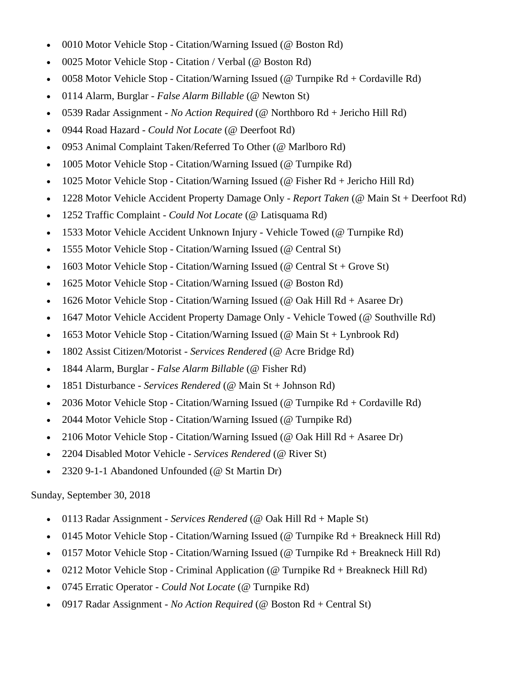- 0010 Motor Vehicle Stop Citation/Warning Issued (@ Boston Rd)
- 0025 Motor Vehicle Stop Citation / Verbal (@ Boston Rd)
- 0058 Motor Vehicle Stop Citation/Warning Issued (@ Turnpike Rd + Cordaville Rd)
- 0114 Alarm, Burglar *False Alarm Billable* (@ Newton St)
- 0539 Radar Assignment *No Action Required* (@ Northboro Rd + Jericho Hill Rd)
- 0944 Road Hazard *Could Not Locate* (@ Deerfoot Rd)
- 0953 Animal Complaint Taken/Referred To Other (@ Marlboro Rd)
- 1005 Motor Vehicle Stop Citation/Warning Issued (@ Turnpike Rd)
- 1025 Motor Vehicle Stop Citation/Warning Issued (@ Fisher Rd + Jericho Hill Rd)
- 1228 Motor Vehicle Accident Property Damage Only *Report Taken* (@ Main St + Deerfoot Rd)
- 1252 Traffic Complaint *Could Not Locate* (@ Latisquama Rd)
- 1533 Motor Vehicle Accident Unknown Injury Vehicle Towed (@ Turnpike Rd)
- 1555 Motor Vehicle Stop Citation/Warning Issued (@ Central St)
- 1603 Motor Vehicle Stop Citation/Warning Issued (@ Central St + Grove St)
- 1625 Motor Vehicle Stop Citation/Warning Issued (@ Boston Rd)
- 1626 Motor Vehicle Stop Citation/Warning Issued ( $\omega$  Oak Hill Rd + Asaree Dr)
- 1647 Motor Vehicle Accident Property Damage Only Vehicle Towed (@ Southville Rd)
- 1653 Motor Vehicle Stop Citation/Warning Issued (@ Main  $St + Lynbrook Rd$ )
- 1802 Assist Citizen/Motorist *Services Rendered* (@ Acre Bridge Rd)
- 1844 Alarm, Burglar *False Alarm Billable* (@ Fisher Rd)
- 1851 Disturbance *Services Rendered* (@ Main St + Johnson Rd)
- 2036 Motor Vehicle Stop Citation/Warning Issued (@ Turnpike Rd + Cordaville Rd)
- 2044 Motor Vehicle Stop Citation/Warning Issued (@ Turnpike Rd)
- 2106 Motor Vehicle Stop Citation/Warning Issued ( $\omega$  Oak Hill Rd + Asaree Dr)
- 2204 Disabled Motor Vehicle *Services Rendered* (@ River St)
- 2320 9-1-1 Abandoned Unfounded (@ St Martin Dr)

# Sunday, September 30, 2018

- 0113 Radar Assignment *Services Rendered* (@ Oak Hill Rd + Maple St)
- 0145 Motor Vehicle Stop Citation/Warning Issued (@ Turnpike Rd + Breakneck Hill Rd)
- 0157 Motor Vehicle Stop Citation/Warning Issued (@ Turnpike Rd + Breakneck Hill Rd)
- 0212 Motor Vehicle Stop Criminal Application (@ Turnpike Rd + Breakneck Hill Rd)
- 0745 Erratic Operator *Could Not Locate* (@ Turnpike Rd)
- 0917 Radar Assignment *No Action Required* (@ Boston Rd + Central St)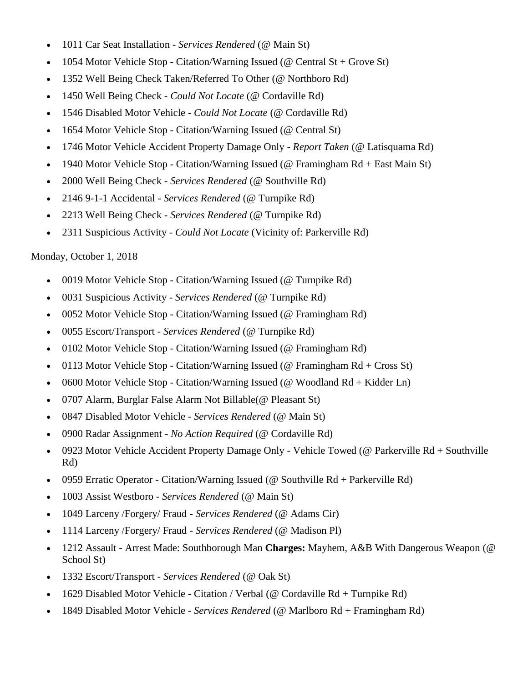- 1011 Car Seat Installation *Services Rendered* (@ Main St)
- 1054 Motor Vehicle Stop Citation/Warning Issued (@ Central St + Grove St)
- 1352 Well Being Check Taken/Referred To Other (@ Northboro Rd)
- 1450 Well Being Check *Could Not Locate* (@ Cordaville Rd)
- 1546 Disabled Motor Vehicle *Could Not Locate* (@ Cordaville Rd)
- 1654 Motor Vehicle Stop Citation/Warning Issued (@ Central St)
- 1746 Motor Vehicle Accident Property Damage Only *Report Taken* (@ Latisquama Rd)
- 1940 Motor Vehicle Stop Citation/Warning Issued (@ Framingham Rd + East Main St)
- 2000 Well Being Check *Services Rendered* (@ Southville Rd)
- 2146 9-1-1 Accidental *Services Rendered* (@ Turnpike Rd)
- 2213 Well Being Check *Services Rendered* (@ Turnpike Rd)
- 2311 Suspicious Activity *Could Not Locate* (Vicinity of: Parkerville Rd)

# Monday, October 1, 2018

- 0019 Motor Vehicle Stop Citation/Warning Issued (@ Turnpike Rd)
- 0031 Suspicious Activity *Services Rendered* (@ Turnpike Rd)
- 0052 Motor Vehicle Stop Citation/Warning Issued (@ Framingham Rd)
- 0055 Escort/Transport *Services Rendered* (@ Turnpike Rd)
- 0102 Motor Vehicle Stop Citation/Warning Issued (@ Framingham Rd)
- 0113 Motor Vehicle Stop Citation/Warning Issued (@ Framingham Rd + Cross St)
- 0600 Motor Vehicle Stop Citation/Warning Issued (@ Woodland Rd + Kidder Ln)
- 0707 Alarm, Burglar False Alarm Not Billable(@ Pleasant St)
- 0847 Disabled Motor Vehicle *Services Rendered* (@ Main St)
- 0900 Radar Assignment *No Action Required* (@ Cordaville Rd)
- 0923 Motor Vehicle Accident Property Damage Only Vehicle Towed (@ Parkerville Rd + Southville Rd)
- 0959 Erratic Operator Citation/Warning Issued (@ Southville Rd + Parkerville Rd)
- 1003 Assist Westboro *Services Rendered* (@ Main St)
- 1049 Larceny /Forgery/ Fraud *Services Rendered* (@ Adams Cir)
- 1114 Larceny /Forgery/ Fraud *Services Rendered* (@ Madison Pl)
- 1212 Assault Arrest Made: Southborough Man **Charges:** Mayhem, A&B With Dangerous Weapon (@ School St)
- 1332 Escort/Transport *Services Rendered* (@ Oak St)
- 1629 Disabled Motor Vehicle Citation / Verbal (@ Cordaville Rd + Turnpike Rd)
- 1849 Disabled Motor Vehicle *Services Rendered* (@ Marlboro Rd + Framingham Rd)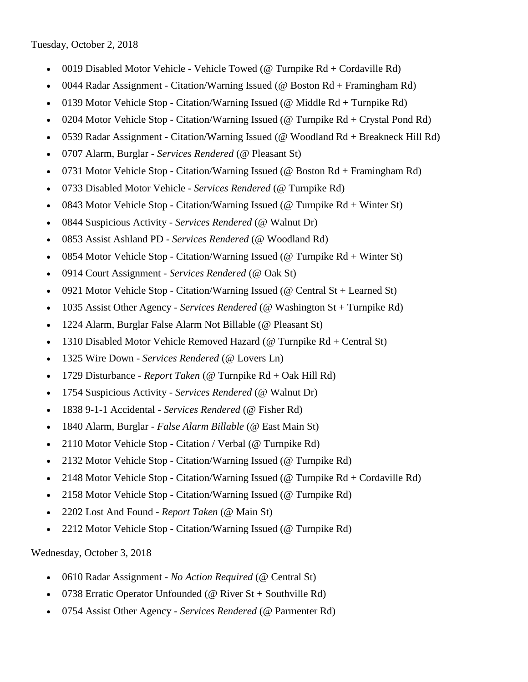Tuesday, October 2, 2018

- 0019 Disabled Motor Vehicle Vehicle Towed (@ Turnpike Rd + Cordaville Rd)
- 0044 Radar Assignment Citation/Warning Issued (@ Boston Rd + Framingham Rd)
- 0139 Motor Vehicle Stop Citation/Warning Issued (@ Middle Rd + Turnpike Rd)
- 0204 Motor Vehicle Stop Citation/Warning Issued (@ Turnpike Rd + Crystal Pond Rd)
- 0539 Radar Assignment Citation/Warning Issued (@ Woodland Rd + Breakneck Hill Rd)
- 0707 Alarm, Burglar *Services Rendered* (@ Pleasant St)
- 0731 Motor Vehicle Stop Citation/Warning Issued (@ Boston Rd + Framingham Rd)
- 0733 Disabled Motor Vehicle *Services Rendered* (@ Turnpike Rd)
- 0843 Motor Vehicle Stop Citation/Warning Issued (@ Turnpike  $Rd + Winter St$ )
- 0844 Suspicious Activity *Services Rendered* (@ Walnut Dr)
- 0853 Assist Ashland PD *Services Rendered* (@ Woodland Rd)
- 0854 Motor Vehicle Stop Citation/Warning Issued (@ Turnpike Rd + Winter St)
- 0914 Court Assignment *Services Rendered* (@ Oak St)
- 0921 Motor Vehicle Stop Citation/Warning Issued ( $\omega$  Central St + Learned St)
- 1035 Assist Other Agency *Services Rendered* (@ Washington St + Turnpike Rd)
- 1224 Alarm, Burglar False Alarm Not Billable (@ Pleasant St)
- 1310 Disabled Motor Vehicle Removed Hazard (@ Turnpike Rd + Central St)
- 1325 Wire Down *Services Rendered* (@ Lovers Ln)
- 1729 Disturbance *Report Taken* (@ Turnpike Rd + Oak Hill Rd)
- 1754 Suspicious Activity *Services Rendered* (@ Walnut Dr)
- 1838 9-1-1 Accidental *Services Rendered* (@ Fisher Rd)
- 1840 Alarm, Burglar *False Alarm Billable* (@ East Main St)
- 2110 Motor Vehicle Stop Citation / Verbal (@ Turnpike Rd)
- 2132 Motor Vehicle Stop Citation/Warning Issued (@ Turnpike Rd)
- 2148 Motor Vehicle Stop Citation/Warning Issued (@ Turnpike Rd + Cordaville Rd)
- 2158 Motor Vehicle Stop Citation/Warning Issued (@ Turnpike Rd)
- 2202 Lost And Found *Report Taken* (@ Main St)
- 2212 Motor Vehicle Stop Citation/Warning Issued (@ Turnpike Rd)

Wednesday, October 3, 2018

- 0610 Radar Assignment *No Action Required* (@ Central St)
- 0738 Erratic Operator Unfounded (@ River St + Southville Rd)
- 0754 Assist Other Agency *Services Rendered* (@ Parmenter Rd)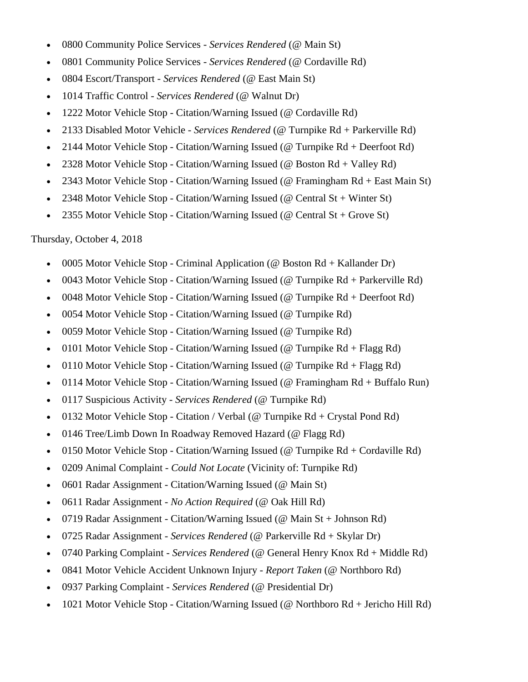- 0800 Community Police Services *Services Rendered* (@ Main St)
- 0801 Community Police Services *Services Rendered* (@ Cordaville Rd)
- 0804 Escort/Transport *Services Rendered* (@ East Main St)
- 1014 Traffic Control *Services Rendered* (@ Walnut Dr)
- 1222 Motor Vehicle Stop Citation/Warning Issued (@ Cordaville Rd)
- 2133 Disabled Motor Vehicle *Services Rendered* (@ Turnpike Rd + Parkerville Rd)
- 2144 Motor Vehicle Stop Citation/Warning Issued (@ Turnpike Rd + Deerfoot Rd)
- 2328 Motor Vehicle Stop Citation/Warning Issued (@ Boston Rd + Valley Rd)
- 2343 Motor Vehicle Stop Citation/Warning Issued (@ Framingham Rd + East Main St)
- 2348 Motor Vehicle Stop Citation/Warning Issued (@ Central St + Winter St)
- 2355 Motor Vehicle Stop Citation/Warning Issued (@ Central St + Grove St)

Thursday, October 4, 2018

- 0005 Motor Vehicle Stop Criminal Application (@ Boston Rd + Kallander Dr)
- 0043 Motor Vehicle Stop Citation/Warning Issued (@ Turnpike Rd + Parkerville Rd)
- 0048 Motor Vehicle Stop Citation/Warning Issued (@ Turnpike Rd + Deerfoot Rd)
- 0054 Motor Vehicle Stop Citation/Warning Issued (@ Turnpike Rd)
- 0059 Motor Vehicle Stop Citation/Warning Issued (@ Turnpike Rd)
- 0101 Motor Vehicle Stop Citation/Warning Issued (@ Turnpike  $Rd + Flagg Rd$ )
- 0110 Motor Vehicle Stop Citation/Warning Issued (@ Turnpike  $Rd + Flagg Rd$ )
- 0114 Motor Vehicle Stop Citation/Warning Issued (@ Framingham Rd + Buffalo Run)
- 0117 Suspicious Activity *Services Rendered* (@ Turnpike Rd)
- 0132 Motor Vehicle Stop Citation / Verbal (@ Turnpike  $Rd + C$ rystal Pond Rd)
- 0146 Tree/Limb Down In Roadway Removed Hazard (@ Flagg Rd)
- 0150 Motor Vehicle Stop Citation/Warning Issued ( $@$  Turnpike Rd + Cordaville Rd)
- 0209 Animal Complaint *Could Not Locate* (Vicinity of: Turnpike Rd)
- 0601 Radar Assignment Citation/Warning Issued (@ Main St)
- 0611 Radar Assignment *No Action Required* (@ Oak Hill Rd)
- 0719 Radar Assignment Citation/Warning Issued (@ Main St + Johnson Rd)
- 0725 Radar Assignment *Services Rendered* (@ Parkerville Rd + Skylar Dr)
- 0740 Parking Complaint *Services Rendered* (@ General Henry Knox Rd + Middle Rd)
- 0841 Motor Vehicle Accident Unknown Injury *Report Taken* (@ Northboro Rd)
- 0937 Parking Complaint *Services Rendered* (@ Presidential Dr)
- 1021 Motor Vehicle Stop Citation/Warning Issued (@ Northboro Rd + Jericho Hill Rd)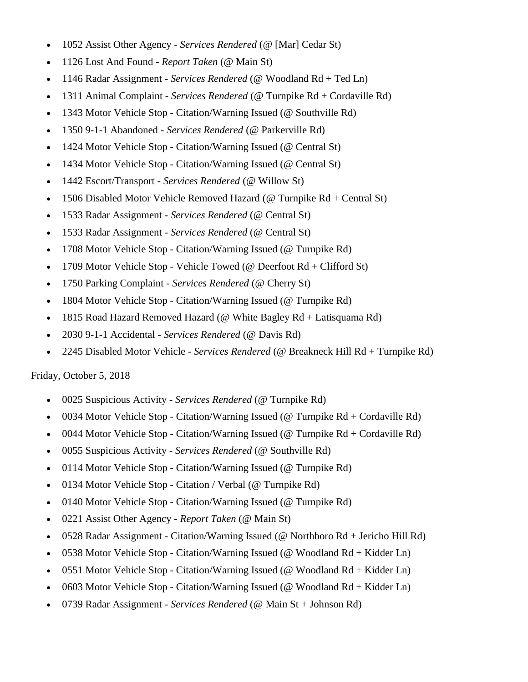- 1052 Assist Other Agency *Services Rendered* (@ [Mar] Cedar St)
- 1126 Lost And Found *Report Taken* (@ Main St)
- 1146 Radar Assignment *Services Rendered* (@ Woodland Rd + Ted Ln)
- 1311 Animal Complaint *Services Rendered* (@ Turnpike Rd + Cordaville Rd)
- 1343 Motor Vehicle Stop Citation/Warning Issued (@ Southville Rd)
- 1350 9-1-1 Abandoned *Services Rendered* (@ Parkerville Rd)
- 1424 Motor Vehicle Stop Citation/Warning Issued (@ Central St)
- 1434 Motor Vehicle Stop Citation/Warning Issued (@ Central St)
- 1442 Escort/Transport *Services Rendered* (@ Willow St)
- 1506 Disabled Motor Vehicle Removed Hazard ( $@$  Turnpike Rd + Central St)
- 1533 Radar Assignment *Services Rendered* (@ Central St)
- 1533 Radar Assignment *Services Rendered* (@ Central St)
- 1708 Motor Vehicle Stop Citation/Warning Issued (@ Turnpike Rd)
- 1709 Motor Vehicle Stop Vehicle Towed (@ Deerfoot  $Rd + Clifford St$ )
- 1750 Parking Complaint *Services Rendered* (@ Cherry St)
- 1804 Motor Vehicle Stop Citation/Warning Issued (@ Turnpike Rd)
- 1815 Road Hazard Removed Hazard (@ White Bagley Rd + Latisquama Rd)
- 2030 9-1-1 Accidental *Services Rendered* (@ Davis Rd)
- 2245 Disabled Motor Vehicle *Services Rendered* (@ Breakneck Hill Rd + Turnpike Rd)

#### Friday, October 5, 2018

- 0025 Suspicious Activity *Services Rendered* (@ Turnpike Rd)
- 0034 Motor Vehicle Stop Citation/Warning Issued ( $@$  Turnpike Rd + Cordaville Rd)
- 0044 Motor Vehicle Stop Citation/Warning Issued (@ Turnpike  $Rd + Cordaville Rd$ )
- 0055 Suspicious Activity *Services Rendered* (@ Southville Rd)
- 0114 Motor Vehicle Stop Citation/Warning Issued (@ Turnpike Rd)
- 0134 Motor Vehicle Stop Citation / Verbal (@ Turnpike Rd)
- 0140 Motor Vehicle Stop Citation/Warning Issued (@ Turnpike Rd)
- 0221 Assist Other Agency *Report Taken* (@ Main St)
- 0528 Radar Assignment Citation/Warning Issued (@ Northboro Rd + Jericho Hill Rd)
- 0538 Motor Vehicle Stop Citation/Warning Issued (@ Woodland Rd + Kidder Ln)
- 0551 Motor Vehicle Stop Citation/Warning Issued (@ Woodland Rd + Kidder Ln)
- 0603 Motor Vehicle Stop Citation/Warning Issued (@ Woodland  $Rd + Kidder Ln$ )
- 0739 Radar Assignment *Services Rendered* (@ Main St + Johnson Rd)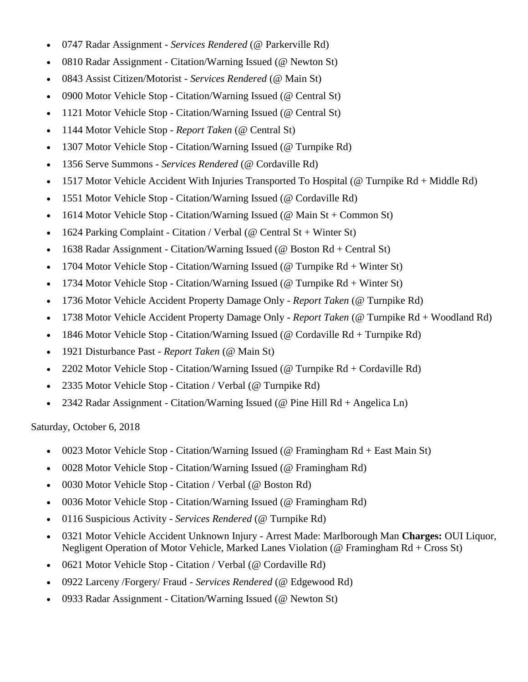- 0747 Radar Assignment *Services Rendered* (@ Parkerville Rd)
- 0810 Radar Assignment Citation/Warning Issued (@ Newton St)
- 0843 Assist Citizen/Motorist *Services Rendered* (@ Main St)
- 0900 Motor Vehicle Stop Citation/Warning Issued (@ Central St)
- 1121 Motor Vehicle Stop Citation/Warning Issued (@ Central St)
- 1144 Motor Vehicle Stop *Report Taken* (@ Central St)
- 1307 Motor Vehicle Stop Citation/Warning Issued (@ Turnpike Rd)
- 1356 Serve Summons *Services Rendered* (@ Cordaville Rd)
- 1517 Motor Vehicle Accident With Injuries Transported To Hospital (@ Turnpike Rd + Middle Rd)
- 1551 Motor Vehicle Stop Citation/Warning Issued (@ Cordaville Rd)
- 1614 Motor Vehicle Stop Citation/Warning Issued (@ Main St + Common St)
- 1624 Parking Complaint Citation / Verbal ( $\omega$  Central St + Winter St)
- 1638 Radar Assignment Citation/Warning Issued (@ Boston Rd + Central St)
- 1704 Motor Vehicle Stop Citation/Warning Issued (@ Turnpike  $Rd + Winter St$ )
- 1734 Motor Vehicle Stop Citation/Warning Issued (@ Turnpike Rd + Winter St)
- 1736 Motor Vehicle Accident Property Damage Only *Report Taken* (@ Turnpike Rd)
- 1738 Motor Vehicle Accident Property Damage Only *Report Taken* (@ Turnpike Rd + Woodland Rd)
- 1846 Motor Vehicle Stop Citation/Warning Issued (@ Cordaville Rd + Turnpike Rd)
- 1921 Disturbance Past *Report Taken* (@ Main St)
- 2202 Motor Vehicle Stop Citation/Warning Issued (@ Turnpike Rd + Cordaville Rd)
- 2335 Motor Vehicle Stop Citation / Verbal (@ Turnpike Rd)
- 2342 Radar Assignment Citation/Warning Issued (@ Pine Hill Rd + Angelica Ln)

Saturday, October 6, 2018

- 0023 Motor Vehicle Stop Citation/Warning Issued (@ Framingham Rd + East Main St)
- 0028 Motor Vehicle Stop Citation/Warning Issued (@ Framingham Rd)
- 0030 Motor Vehicle Stop Citation / Verbal (@ Boston Rd)
- 0036 Motor Vehicle Stop Citation/Warning Issued (@ Framingham Rd)
- 0116 Suspicious Activity *Services Rendered* (@ Turnpike Rd)
- 0321 Motor Vehicle Accident Unknown Injury Arrest Made: Marlborough Man **Charges:** OUI Liquor, Negligent Operation of Motor Vehicle, Marked Lanes Violation (@ Framingham Rd + Cross St)
- 0621 Motor Vehicle Stop Citation / Verbal (@ Cordaville Rd)
- 0922 Larceny /Forgery/ Fraud *Services Rendered* (@ Edgewood Rd)
- 0933 Radar Assignment Citation/Warning Issued (@ Newton St)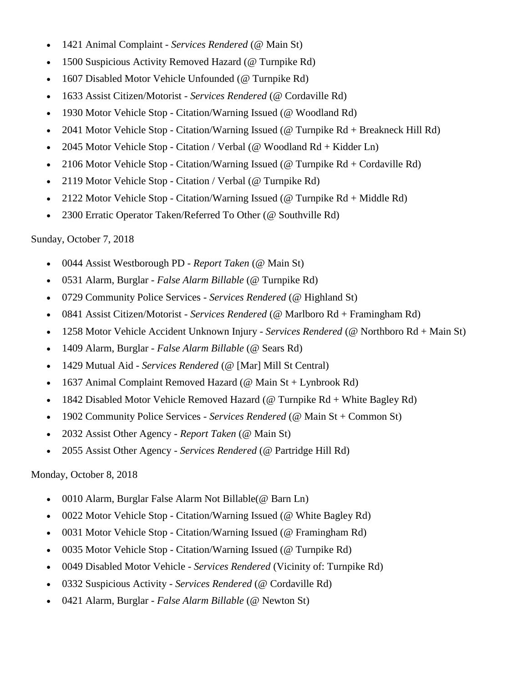- 1421 Animal Complaint *Services Rendered* (@ Main St)
- 1500 Suspicious Activity Removed Hazard (@ Turnpike Rd)
- 1607 Disabled Motor Vehicle Unfounded (@ Turnpike Rd)
- 1633 Assist Citizen/Motorist *Services Rendered* (@ Cordaville Rd)
- 1930 Motor Vehicle Stop Citation/Warning Issued (@ Woodland Rd)
- 2041 Motor Vehicle Stop Citation/Warning Issued (@ Turnpike Rd + Breakneck Hill Rd)
- 2045 Motor Vehicle Stop Citation / Verbal (@ Woodland Rd + Kidder Ln)
- 2106 Motor Vehicle Stop Citation/Warning Issued (@ Turnpike Rd + Cordaville Rd)
- 2119 Motor Vehicle Stop Citation / Verbal (@ Turnpike Rd)
- 2122 Motor Vehicle Stop Citation/Warning Issued (@ Turnpike Rd + Middle Rd)
- 2300 Erratic Operator Taken/Referred To Other (@ Southville Rd)

#### Sunday, October 7, 2018

- 0044 Assist Westborough PD *Report Taken* (@ Main St)
- 0531 Alarm, Burglar *False Alarm Billable* (@ Turnpike Rd)
- 0729 Community Police Services *Services Rendered* (@ Highland St)
- 0841 Assist Citizen/Motorist *Services Rendered* (@ Marlboro Rd + Framingham Rd)
- 1258 Motor Vehicle Accident Unknown Injury *Services Rendered* (@ Northboro Rd + Main St)
- 1409 Alarm, Burglar *False Alarm Billable* (@ Sears Rd)
- 1429 Mutual Aid *Services Rendered* (@ [Mar] Mill St Central)
- 1637 Animal Complaint Removed Hazard (@ Main St + Lynbrook Rd)
- 1842 Disabled Motor Vehicle Removed Hazard (@ Turnpike Rd + White Bagley Rd)
- 1902 Community Police Services *Services Rendered* (@ Main St + Common St)
- 2032 Assist Other Agency *Report Taken* (@ Main St)
- 2055 Assist Other Agency *Services Rendered* (@ Partridge Hill Rd)

#### Monday, October 8, 2018

- 0010 Alarm, Burglar False Alarm Not Billable(@ Barn Ln)
- 0022 Motor Vehicle Stop Citation/Warning Issued (@ White Bagley Rd)
- 0031 Motor Vehicle Stop Citation/Warning Issued (@ Framingham Rd)
- 0035 Motor Vehicle Stop Citation/Warning Issued (@ Turnpike Rd)
- 0049 Disabled Motor Vehicle *Services Rendered* (Vicinity of: Turnpike Rd)
- 0332 Suspicious Activity *Services Rendered* (@ Cordaville Rd)
- 0421 Alarm, Burglar *False Alarm Billable* (@ Newton St)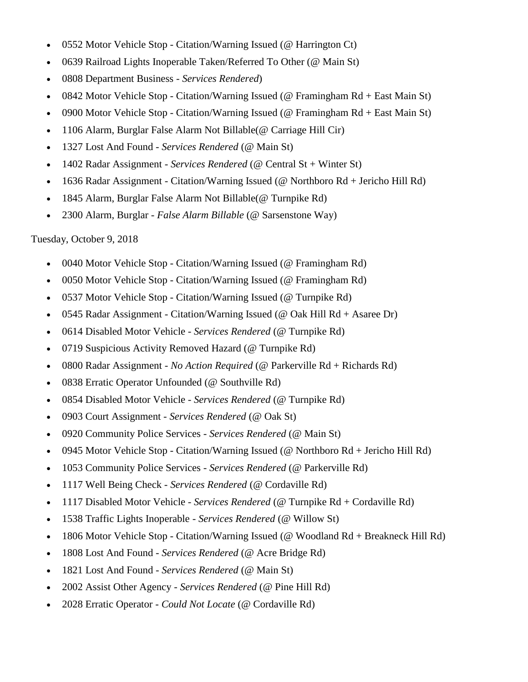- 0552 Motor Vehicle Stop Citation/Warning Issued (@ Harrington Ct)
- 0639 Railroad Lights Inoperable Taken/Referred To Other (@ Main St)
- 0808 Department Business *Services Rendered*)
- 0842 Motor Vehicle Stop Citation/Warning Issued (@ Framingham Rd + East Main St)
- 0900 Motor Vehicle Stop Citation/Warning Issued (@ Framingham Rd + East Main St)
- 1106 Alarm, Burglar False Alarm Not Billable(@ Carriage Hill Cir)
- 1327 Lost And Found *Services Rendered* (@ Main St)
- 1402 Radar Assignment *Services Rendered* (@ Central St + Winter St)
- 1636 Radar Assignment Citation/Warning Issued (@ Northboro Rd + Jericho Hill Rd)
- 1845 Alarm, Burglar False Alarm Not Billable(@ Turnpike Rd)
- 2300 Alarm, Burglar *False Alarm Billable* (@ Sarsenstone Way)

# Tuesday, October 9, 2018

- 0040 Motor Vehicle Stop Citation/Warning Issued (@ Framingham Rd)
- 0050 Motor Vehicle Stop Citation/Warning Issued (@ Framingham Rd)
- 0537 Motor Vehicle Stop Citation/Warning Issued (@ Turnpike Rd)
- 0545 Radar Assignment Citation/Warning Issued (@ Oak Hill Rd + Asaree Dr)
- 0614 Disabled Motor Vehicle *Services Rendered* (@ Turnpike Rd)
- 0719 Suspicious Activity Removed Hazard (@ Turnpike Rd)
- 0800 Radar Assignment *No Action Required* (@ Parkerville Rd + Richards Rd)
- 0838 Erratic Operator Unfounded (@ Southville Rd)
- 0854 Disabled Motor Vehicle *Services Rendered* (@ Turnpike Rd)
- 0903 Court Assignment *Services Rendered* (@ Oak St)
- 0920 Community Police Services *Services Rendered* (@ Main St)
- 0945 Motor Vehicle Stop Citation/Warning Issued (@ Northboro Rd + Jericho Hill Rd)
- 1053 Community Police Services *Services Rendered* (@ Parkerville Rd)
- 1117 Well Being Check *Services Rendered* (@ Cordaville Rd)
- 1117 Disabled Motor Vehicle *Services Rendered* (@ Turnpike Rd + Cordaville Rd)
- 1538 Traffic Lights Inoperable *Services Rendered* (@ Willow St)
- 1806 Motor Vehicle Stop Citation/Warning Issued (@ Woodland Rd + Breakneck Hill Rd)
- 1808 Lost And Found *Services Rendered* (@ Acre Bridge Rd)
- 1821 Lost And Found *Services Rendered* (@ Main St)
- 2002 Assist Other Agency *Services Rendered* (@ Pine Hill Rd)
- 2028 Erratic Operator *Could Not Locate* (@ Cordaville Rd)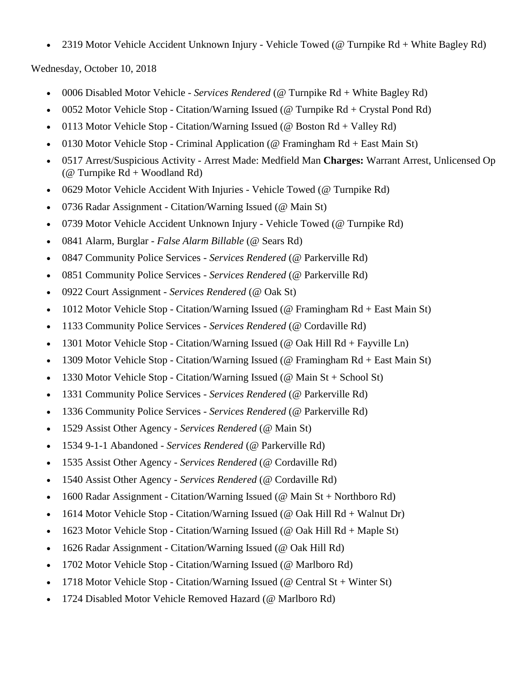2319 Motor Vehicle Accident Unknown Injury - Vehicle Towed (@ Turnpike Rd + White Bagley Rd)

Wednesday, October 10, 2018

- 0006 Disabled Motor Vehicle *Services Rendered* (@ Turnpike Rd + White Bagley Rd)
- 0052 Motor Vehicle Stop Citation/Warning Issued (@ Turnpike Rd + Crystal Pond Rd)
- 0113 Motor Vehicle Stop Citation/Warning Issued (@ Boston Rd + Valley Rd)
- 0130 Motor Vehicle Stop Criminal Application (@ Framingham Rd + East Main St)
- 0517 Arrest/Suspicious Activity Arrest Made: Medfield Man **Charges:** Warrant Arrest, Unlicensed Op ( $@$  Turnpike  $Rd + Woodland Rd)$
- 0629 Motor Vehicle Accident With Injuries Vehicle Towed (@ Turnpike Rd)
- 0736 Radar Assignment Citation/Warning Issued (@ Main St)
- 0739 Motor Vehicle Accident Unknown Injury Vehicle Towed (@ Turnpike Rd)
- 0841 Alarm, Burglar *False Alarm Billable* (@ Sears Rd)
- 0847 Community Police Services *Services Rendered* (@ Parkerville Rd)
- 0851 Community Police Services *Services Rendered* (@ Parkerville Rd)
- 0922 Court Assignment *Services Rendered* (@ Oak St)
- 1012 Motor Vehicle Stop Citation/Warning Issued (@ Framingham Rd + East Main St)
- 1133 Community Police Services *Services Rendered* (@ Cordaville Rd)
- 1301 Motor Vehicle Stop Citation/Warning Issued (@ Oak Hill  $Rd + F$ ayville Ln)
- 1309 Motor Vehicle Stop Citation/Warning Issued (@ Framingham Rd + East Main St)
- 1330 Motor Vehicle Stop Citation/Warning Issued (@ Main St + School St)
- 1331 Community Police Services *Services Rendered* (@ Parkerville Rd)
- 1336 Community Police Services *Services Rendered* (@ Parkerville Rd)
- 1529 Assist Other Agency *Services Rendered* (@ Main St)
- 1534 9-1-1 Abandoned *Services Rendered* (@ Parkerville Rd)
- 1535 Assist Other Agency *Services Rendered* (@ Cordaville Rd)
- 1540 Assist Other Agency *Services Rendered* (@ Cordaville Rd)
- 1600 Radar Assignment Citation/Warning Issued (@ Main St + Northboro Rd)
- 1614 Motor Vehicle Stop Citation/Warning Issued (@ Oak Hill Rd + Walnut Dr)
- 1623 Motor Vehicle Stop Citation/Warning Issued (@ Oak Hill  $Rd + Maple St$ )
- 1626 Radar Assignment Citation/Warning Issued (@ Oak Hill Rd)
- 1702 Motor Vehicle Stop Citation/Warning Issued (@ Marlboro Rd)
- 1718 Motor Vehicle Stop Citation/Warning Issued (@ Central St + Winter St)
- 1724 Disabled Motor Vehicle Removed Hazard (@ Marlboro Rd)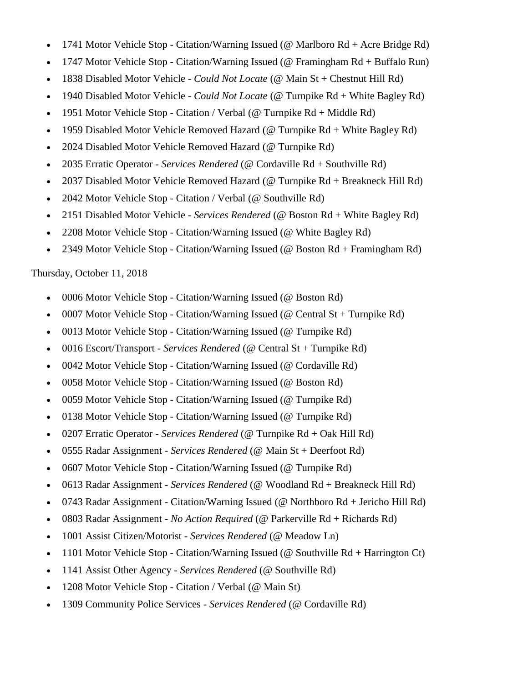- 1741 Motor Vehicle Stop Citation/Warning Issued (@ Marlboro Rd + Acre Bridge Rd)
- 1747 Motor Vehicle Stop Citation/Warning Issued (@ Framingham Rd + Buffalo Run)
- 1838 Disabled Motor Vehicle *Could Not Locate* (@ Main St + Chestnut Hill Rd)
- 1940 Disabled Motor Vehicle *Could Not Locate* (@ Turnpike Rd + White Bagley Rd)
- 1951 Motor Vehicle Stop Citation / Verbal (@ Turnpike Rd + Middle Rd)
- 1959 Disabled Motor Vehicle Removed Hazard (@ Turnpike Rd + White Bagley Rd)
- 2024 Disabled Motor Vehicle Removed Hazard (@ Turnpike Rd)
- 2035 Erratic Operator *Services Rendered* (@ Cordaville Rd + Southville Rd)
- 2037 Disabled Motor Vehicle Removed Hazard (@ Turnpike Rd + Breakneck Hill Rd)
- 2042 Motor Vehicle Stop Citation / Verbal (@ Southville Rd)
- 2151 Disabled Motor Vehicle *Services Rendered* (@ Boston Rd + White Bagley Rd)
- 2208 Motor Vehicle Stop Citation/Warning Issued (@ White Bagley Rd)
- 2349 Motor Vehicle Stop Citation/Warning Issued (@ Boston Rd + Framingham Rd)

# Thursday, October 11, 2018

- 0006 Motor Vehicle Stop Citation/Warning Issued (@ Boston Rd)
- 0007 Motor Vehicle Stop Citation/Warning Issued (@ Central St + Turnpike Rd)
- 0013 Motor Vehicle Stop Citation/Warning Issued (@ Turnpike Rd)
- 0016 Escort/Transport *Services Rendered* (@ Central St + Turnpike Rd)
- 0042 Motor Vehicle Stop Citation/Warning Issued (@ Cordaville Rd)
- 0058 Motor Vehicle Stop Citation/Warning Issued (@ Boston Rd)
- 0059 Motor Vehicle Stop Citation/Warning Issued (@ Turnpike Rd)
- 0138 Motor Vehicle Stop Citation/Warning Issued (@ Turnpike Rd)
- 0207 Erratic Operator *Services Rendered* (@ Turnpike Rd + Oak Hill Rd)
- 0555 Radar Assignment *Services Rendered* (@ Main St + Deerfoot Rd)
- 0607 Motor Vehicle Stop Citation/Warning Issued (@ Turnpike Rd)
- 0613 Radar Assignment *Services Rendered* (@ Woodland Rd + Breakneck Hill Rd)
- 0743 Radar Assignment Citation/Warning Issued (@ Northboro Rd + Jericho Hill Rd)
- 0803 Radar Assignment *No Action Required* (@ Parkerville Rd + Richards Rd)
- 1001 Assist Citizen/Motorist *Services Rendered* (@ Meadow Ln)
- 1101 Motor Vehicle Stop Citation/Warning Issued (@ Southville  $Rd + Harrington Ct$ )
- 1141 Assist Other Agency *Services Rendered* (@ Southville Rd)
- 1208 Motor Vehicle Stop Citation / Verbal (@ Main St)
- 1309 Community Police Services *Services Rendered* (@ Cordaville Rd)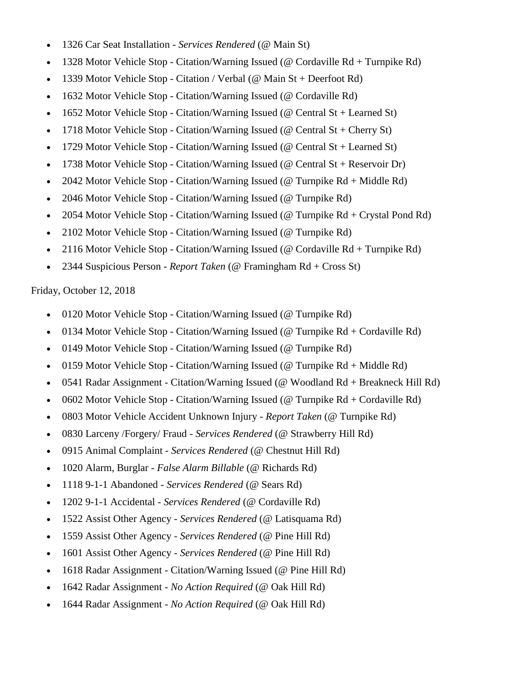- 1326 Car Seat Installation *Services Rendered* (@ Main St)
- 1328 Motor Vehicle Stop Citation/Warning Issued (@ Cordaville Rd + Turnpike Rd)
- 1339 Motor Vehicle Stop Citation / Verbal (@ Main St + Deerfoot Rd)
- 1632 Motor Vehicle Stop Citation/Warning Issued (@ Cordaville Rd)
- 1652 Motor Vehicle Stop Citation/Warning Issued (@ Central St + Learned St)
- 1718 Motor Vehicle Stop Citation/Warning Issued (@ Central St + Cherry St)
- 1729 Motor Vehicle Stop Citation/Warning Issued (@ Central St + Learned St)
- 1738 Motor Vehicle Stop Citation/Warning Issued ( $@$  Central St + Reservoir Dr)
- 2042 Motor Vehicle Stop Citation/Warning Issued (@ Turnpike Rd + Middle Rd)
- 2046 Motor Vehicle Stop Citation/Warning Issued (@ Turnpike Rd)
- 2054 Motor Vehicle Stop Citation/Warning Issued (@ Turnpike Rd + Crystal Pond Rd)
- 2102 Motor Vehicle Stop Citation/Warning Issued (@ Turnpike Rd)
- 2116 Motor Vehicle Stop Citation/Warning Issued (@ Cordaville Rd + Turnpike Rd)
- 2344 Suspicious Person *Report Taken* (@ Framingham Rd + Cross St)

Friday, October 12, 2018

- 0120 Motor Vehicle Stop Citation/Warning Issued (@ Turnpike Rd)
- 0134 Motor Vehicle Stop Citation/Warning Issued (@ Turnpike Rd + Cordaville Rd)
- 0149 Motor Vehicle Stop Citation/Warning Issued (@ Turnpike Rd)
- 0159 Motor Vehicle Stop Citation/Warning Issued (@ Turnpike Rd + Middle Rd)
- 0541 Radar Assignment Citation/Warning Issued (@ Woodland Rd + Breakneck Hill Rd)
- 0602 Motor Vehicle Stop Citation/Warning Issued ( $@$  Turnpike Rd + Cordaville Rd)
- 0803 Motor Vehicle Accident Unknown Injury *Report Taken* (@ Turnpike Rd)
- 0830 Larceny /Forgery/ Fraud *Services Rendered* (@ Strawberry Hill Rd)
- 0915 Animal Complaint *Services Rendered* (@ Chestnut Hill Rd)
- 1020 Alarm, Burglar *False Alarm Billable* (@ Richards Rd)
- 1118 9-1-1 Abandoned *Services Rendered* (@ Sears Rd)
- 1202 9-1-1 Accidental *Services Rendered* (@ Cordaville Rd)
- 1522 Assist Other Agency *Services Rendered* (@ Latisquama Rd)
- 1559 Assist Other Agency *Services Rendered* (@ Pine Hill Rd)
- 1601 Assist Other Agency *Services Rendered* (@ Pine Hill Rd)
- 1618 Radar Assignment Citation/Warning Issued (@ Pine Hill Rd)
- 1642 Radar Assignment *No Action Required* (@ Oak Hill Rd)
- 1644 Radar Assignment *No Action Required* (@ Oak Hill Rd)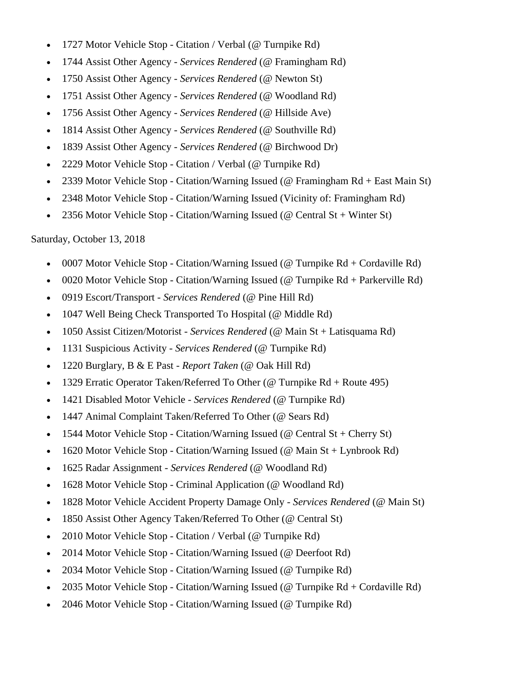- 1727 Motor Vehicle Stop Citation / Verbal (@ Turnpike Rd)
- 1744 Assist Other Agency *Services Rendered* (@ Framingham Rd)
- 1750 Assist Other Agency *Services Rendered* (@ Newton St)
- 1751 Assist Other Agency *Services Rendered* (@ Woodland Rd)
- 1756 Assist Other Agency *Services Rendered* (@ Hillside Ave)
- 1814 Assist Other Agency *Services Rendered* (@ Southville Rd)
- 1839 Assist Other Agency *Services Rendered* (@ Birchwood Dr)
- 2229 Motor Vehicle Stop Citation / Verbal (@ Turnpike Rd)
- 2339 Motor Vehicle Stop Citation/Warning Issued (@ Framingham Rd + East Main St)
- 2348 Motor Vehicle Stop Citation/Warning Issued (Vicinity of: Framingham Rd)
- 2356 Motor Vehicle Stop Citation/Warning Issued (@ Central St + Winter St)

#### Saturday, October 13, 2018

- 0007 Motor Vehicle Stop Citation/Warning Issued ( $@$  Turnpike Rd + Cordaville Rd)
- 0020 Motor Vehicle Stop Citation/Warning Issued (@ Turnpike Rd + Parkerville Rd)
- 0919 Escort/Transport *Services Rendered* (@ Pine Hill Rd)
- 1047 Well Being Check Transported To Hospital (@ Middle Rd)
- 1050 Assist Citizen/Motorist *Services Rendered* (@ Main St + Latisquama Rd)
- 1131 Suspicious Activity *Services Rendered* (@ Turnpike Rd)
- 1220 Burglary, B & E Past *Report Taken* (@ Oak Hill Rd)
- 1329 Erratic Operator Taken/Referred To Other (@ Turnpike Rd + Route 495)
- 1421 Disabled Motor Vehicle *Services Rendered* (@ Turnpike Rd)
- 1447 Animal Complaint Taken/Referred To Other (@ Sears Rd)
- 1544 Motor Vehicle Stop Citation/Warning Issued (@ Central St + Cherry St)
- 1620 Motor Vehicle Stop Citation/Warning Issued (@ Main St + Lynbrook Rd)
- 1625 Radar Assignment *Services Rendered* (@ Woodland Rd)
- 1628 Motor Vehicle Stop Criminal Application (@ Woodland Rd)
- 1828 Motor Vehicle Accident Property Damage Only *Services Rendered* (@ Main St)
- 1850 Assist Other Agency Taken/Referred To Other (@ Central St)
- 2010 Motor Vehicle Stop Citation / Verbal (@ Turnpike Rd)
- 2014 Motor Vehicle Stop Citation/Warning Issued (@ Deerfoot Rd)
- 2034 Motor Vehicle Stop Citation/Warning Issued (@ Turnpike Rd)
- 2035 Motor Vehicle Stop Citation/Warning Issued (@ Turnpike Rd + Cordaville Rd)
- 2046 Motor Vehicle Stop Citation/Warning Issued (@ Turnpike Rd)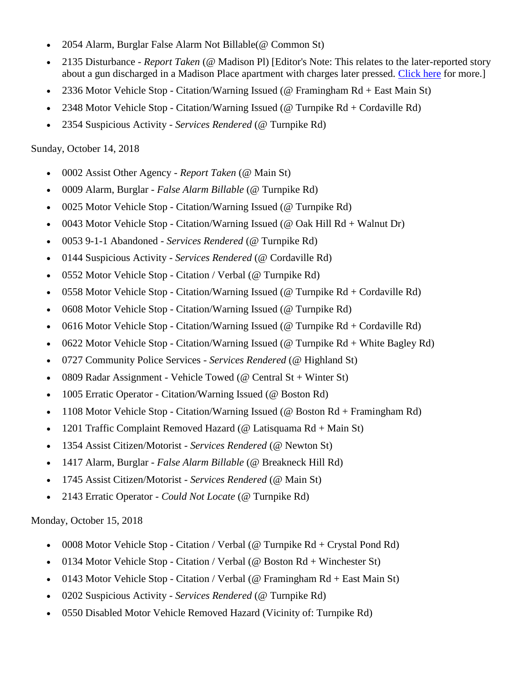- 2054 Alarm, Burglar False Alarm Not Billable(@ Common St)
- 2135 Disturbance *Report Taken* (@ Madison Pl) [Editor's Note: This relates to the later-reported story about a gun discharged in a Madison Place apartment with charges later pressed. [Click here](http://www.mysouthborough.com/2018/10/17/southborough-man-and-friend-face-charges-over-fired-gun/) for more.]
- 2336 Motor Vehicle Stop Citation/Warning Issued (@ Framingham Rd + East Main St)
- 2348 Motor Vehicle Stop Citation/Warning Issued (@ Turnpike Rd + Cordaville Rd)
- 2354 Suspicious Activity *Services Rendered* (@ Turnpike Rd)

#### Sunday, October 14, 2018

- 0002 Assist Other Agency *Report Taken* (@ Main St)
- 0009 Alarm, Burglar *False Alarm Billable* (@ Turnpike Rd)
- 0025 Motor Vehicle Stop Citation/Warning Issued (@ Turnpike Rd)
- 0043 Motor Vehicle Stop Citation/Warning Issued (@ Oak Hill Rd + Walnut Dr)
- 0053 9-1-1 Abandoned *Services Rendered* (@ Turnpike Rd)
- 0144 Suspicious Activity *Services Rendered* (@ Cordaville Rd)
- 0552 Motor Vehicle Stop Citation / Verbal (@ Turnpike Rd)
- 0558 Motor Vehicle Stop Citation/Warning Issued (@ Turnpike  $Rd + Cordaville Rd$ )
- 0608 Motor Vehicle Stop Citation/Warning Issued (@ Turnpike Rd)
- 0616 Motor Vehicle Stop Citation/Warning Issued ( $@$  Turnpike Rd + Cordaville Rd)
- 0622 Motor Vehicle Stop Citation/Warning Issued (@ Turnpike Rd + White Bagley Rd)
- 0727 Community Police Services *Services Rendered* (@ Highland St)
- 0809 Radar Assignment Vehicle Towed ( $\omega$  Central St + Winter St)
- 1005 Erratic Operator Citation/Warning Issued (@ Boston Rd)
- 1108 Motor Vehicle Stop Citation/Warning Issued (@ Boston Rd + Framingham Rd)
- 1201 Traffic Complaint Removed Hazard (@ Latisquama Rd + Main St)
- 1354 Assist Citizen/Motorist *Services Rendered* (@ Newton St)
- 1417 Alarm, Burglar *False Alarm Billable* (@ Breakneck Hill Rd)
- 1745 Assist Citizen/Motorist *Services Rendered* (@ Main St)
- 2143 Erratic Operator *Could Not Locate* (@ Turnpike Rd)

#### Monday, October 15, 2018

- 0008 Motor Vehicle Stop Citation / Verbal (@ Turnpike  $Rd + Crystal$  Pond  $Rd$ )
- 0134 Motor Vehicle Stop Citation / Verbal (@ Boston Rd + Winchester St)
- 0143 Motor Vehicle Stop Citation / Verbal (@ Framingham  $Rd + East$  Main St)
- 0202 Suspicious Activity *Services Rendered* (@ Turnpike Rd)
- 0550 Disabled Motor Vehicle Removed Hazard (Vicinity of: Turnpike Rd)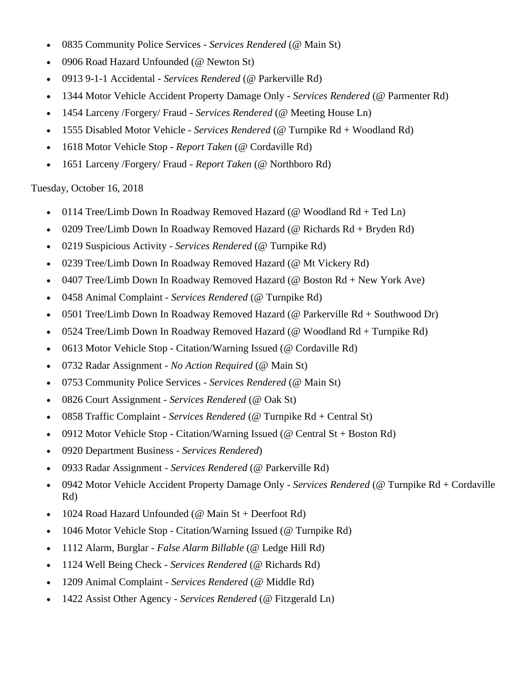- 0835 Community Police Services *Services Rendered* (@ Main St)
- 0906 Road Hazard Unfounded (@ Newton St)
- 0913 9-1-1 Accidental *Services Rendered* (@ Parkerville Rd)
- 1344 Motor Vehicle Accident Property Damage Only *Services Rendered* (@ Parmenter Rd)
- 1454 Larceny /Forgery/ Fraud *Services Rendered* (@ Meeting House Ln)
- 1555 Disabled Motor Vehicle *Services Rendered* (@ Turnpike Rd + Woodland Rd)
- 1618 Motor Vehicle Stop *Report Taken* (@ Cordaville Rd)
- 1651 Larceny /Forgery/ Fraud *Report Taken* (@ Northboro Rd)

Tuesday, October 16, 2018

- 0114 Tree/Limb Down In Roadway Removed Hazard ( $@$  Woodland Rd + Ted Ln)
- 0209 Tree/Limb Down In Roadway Removed Hazard (@ Richards Rd + Bryden Rd)
- 0219 Suspicious Activity *Services Rendered* (@ Turnpike Rd)
- 0239 Tree/Limb Down In Roadway Removed Hazard (@ Mt Vickery Rd)
- 0407 Tree/Limb Down In Roadway Removed Hazard (@ Boston Rd + New York Ave)
- 0458 Animal Complaint *Services Rendered* (@ Turnpike Rd)
- 0501 Tree/Limb Down In Roadway Removed Hazard (@ Parkerville Rd + Southwood Dr)
- 0524 Tree/Limb Down In Roadway Removed Hazard (@ Woodland Rd + Turnpike Rd)
- 0613 Motor Vehicle Stop Citation/Warning Issued (@ Cordaville Rd)
- 0732 Radar Assignment *No Action Required* (@ Main St)
- 0753 Community Police Services *Services Rendered* (@ Main St)
- 0826 Court Assignment *Services Rendered* (@ Oak St)
- 0858 Traffic Complaint *Services Rendered* (@ Turnpike Rd + Central St)
- 0912 Motor Vehicle Stop Citation/Warning Issued (@ Central St + Boston Rd)
- 0920 Department Business *Services Rendered*)
- 0933 Radar Assignment *Services Rendered* (@ Parkerville Rd)
- 0942 Motor Vehicle Accident Property Damage Only *Services Rendered* (@ Turnpike Rd + Cordaville Rd)
- 1024 Road Hazard Unfounded ( $@$  Main St + Deerfoot Rd)
- 1046 Motor Vehicle Stop Citation/Warning Issued (@ Turnpike Rd)
- 1112 Alarm, Burglar *False Alarm Billable* (@ Ledge Hill Rd)
- 1124 Well Being Check *Services Rendered* (@ Richards Rd)
- 1209 Animal Complaint *Services Rendered* (@ Middle Rd)
- 1422 Assist Other Agency *Services Rendered* (@ Fitzgerald Ln)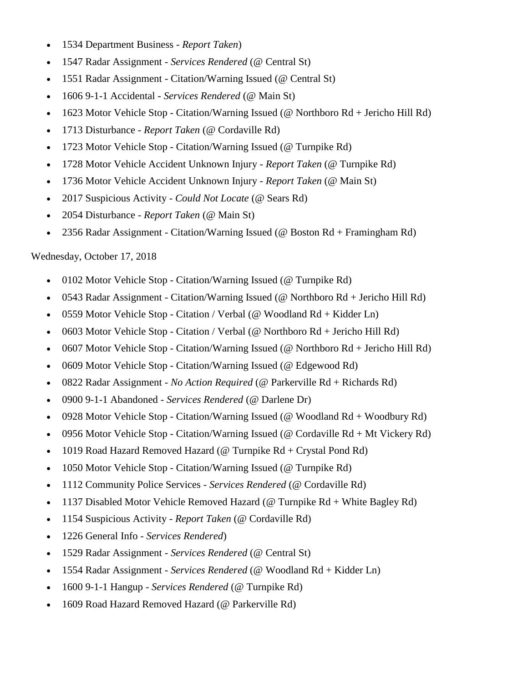- 1534 Department Business *Report Taken*)
- 1547 Radar Assignment *Services Rendered* (@ Central St)
- 1551 Radar Assignment Citation/Warning Issued (@ Central St)
- 1606 9-1-1 Accidental *Services Rendered* (@ Main St)
- 1623 Motor Vehicle Stop Citation/Warning Issued (@ Northboro Rd + Jericho Hill Rd)
- 1713 Disturbance *Report Taken* (@ Cordaville Rd)
- 1723 Motor Vehicle Stop Citation/Warning Issued (@ Turnpike Rd)
- 1728 Motor Vehicle Accident Unknown Injury *Report Taken* (@ Turnpike Rd)
- 1736 Motor Vehicle Accident Unknown Injury *Report Taken* (@ Main St)
- 2017 Suspicious Activity *Could Not Locate* (@ Sears Rd)
- 2054 Disturbance *Report Taken* (@ Main St)
- 2356 Radar Assignment Citation/Warning Issued (@ Boston Rd + Framingham Rd)

# Wednesday, October 17, 2018

- 0102 Motor Vehicle Stop Citation/Warning Issued (@ Turnpike Rd)
- 0543 Radar Assignment Citation/Warning Issued (@ Northboro Rd + Jericho Hill Rd)
- 0559 Motor Vehicle Stop Citation / Verbal ( $@$  Woodland Rd + Kidder Ln)
- 0603 Motor Vehicle Stop Citation / Verbal (@ Northboro Rd + Jericho Hill Rd)
- 0607 Motor Vehicle Stop Citation/Warning Issued (@ Northboro Rd + Jericho Hill Rd)
- 0609 Motor Vehicle Stop Citation/Warning Issued (@ Edgewood Rd)
- 0822 Radar Assignment *No Action Required* (@ Parkerville Rd + Richards Rd)
- 0900 9-1-1 Abandoned *Services Rendered* (@ Darlene Dr)
- 0928 Motor Vehicle Stop Citation/Warning Issued (@ Woodland Rd + Woodbury Rd)
- 0956 Motor Vehicle Stop Citation/Warning Issued (@ Cordaville Rd + Mt Vickery Rd)
- 1019 Road Hazard Removed Hazard ( $@$  Turnpike Rd + Crystal Pond Rd)
- 1050 Motor Vehicle Stop Citation/Warning Issued (@ Turnpike Rd)
- 1112 Community Police Services *Services Rendered* (@ Cordaville Rd)
- 1137 Disabled Motor Vehicle Removed Hazard (@ Turnpike Rd + White Bagley Rd)
- 1154 Suspicious Activity *Report Taken* (@ Cordaville Rd)
- 1226 General Info *Services Rendered*)
- 1529 Radar Assignment *Services Rendered* (@ Central St)
- 1554 Radar Assignment *Services Rendered* (@ Woodland Rd + Kidder Ln)
- 1600 9-1-1 Hangup *Services Rendered* (@ Turnpike Rd)
- 1609 Road Hazard Removed Hazard (@ Parkerville Rd)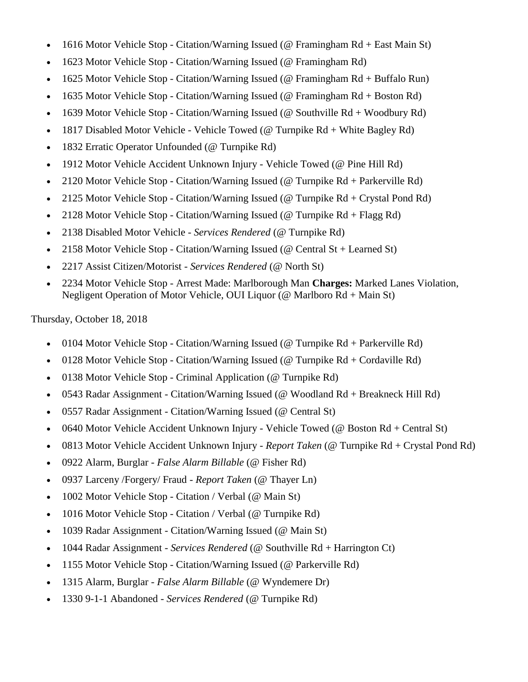- 1616 Motor Vehicle Stop Citation/Warning Issued (@ Framingham Rd + East Main St)
- 1623 Motor Vehicle Stop Citation/Warning Issued (@ Framingham Rd)
- 1625 Motor Vehicle Stop Citation/Warning Issued (@ Framingham Rd + Buffalo Run)
- 1635 Motor Vehicle Stop Citation/Warning Issued (@ Framingham Rd + Boston Rd)
- 1639 Motor Vehicle Stop Citation/Warning Issued (@ Southville Rd + Woodbury Rd)
- 1817 Disabled Motor Vehicle Vehicle Towed (@ Turnpike Rd + White Bagley Rd)
- 1832 Erratic Operator Unfounded (@ Turnpike Rd)
- 1912 Motor Vehicle Accident Unknown Injury Vehicle Towed (@ Pine Hill Rd)
- 2120 Motor Vehicle Stop Citation/Warning Issued (@ Turnpike Rd + Parkerville Rd)
- 2125 Motor Vehicle Stop Citation/Warning Issued (@ Turnpike Rd + Crystal Pond Rd)
- 2128 Motor Vehicle Stop Citation/Warning Issued (@ Turnpike Rd + Flagg Rd)
- 2138 Disabled Motor Vehicle *Services Rendered* (@ Turnpike Rd)
- 2158 Motor Vehicle Stop Citation/Warning Issued (@ Central St + Learned St)
- 2217 Assist Citizen/Motorist *Services Rendered* (@ North St)
- 2234 Motor Vehicle Stop Arrest Made: Marlborough Man **Charges:** Marked Lanes Violation, Negligent Operation of Motor Vehicle, OUI Liquor (@ Marlboro Rd + Main St)

Thursday, October 18, 2018

- 0104 Motor Vehicle Stop Citation/Warning Issued (@ Turnpike Rd + Parkerville Rd)
- 0128 Motor Vehicle Stop Citation/Warning Issued ( $@$  Turnpike Rd + Cordaville Rd)
- 0138 Motor Vehicle Stop Criminal Application (@ Turnpike Rd)
- 0543 Radar Assignment Citation/Warning Issued (@ Woodland Rd + Breakneck Hill Rd)
- 0557 Radar Assignment Citation/Warning Issued (@ Central St)
- 0640 Motor Vehicle Accident Unknown Injury Vehicle Towed (@ Boston Rd + Central St)
- 0813 Motor Vehicle Accident Unknown Injury *Report Taken* (@ Turnpike Rd + Crystal Pond Rd)
- 0922 Alarm, Burglar *False Alarm Billable* (@ Fisher Rd)
- 0937 Larceny /Forgery/ Fraud *Report Taken* (@ Thayer Ln)
- 1002 Motor Vehicle Stop Citation / Verbal (@ Main St)
- 1016 Motor Vehicle Stop Citation / Verbal (@ Turnpike Rd)
- 1039 Radar Assignment Citation/Warning Issued (@ Main St)
- 1044 Radar Assignment *Services Rendered* (@ Southville Rd + Harrington Ct)
- 1155 Motor Vehicle Stop Citation/Warning Issued (@ Parkerville Rd)
- 1315 Alarm, Burglar *False Alarm Billable* (@ Wyndemere Dr)
- 1330 9-1-1 Abandoned *Services Rendered* (@ Turnpike Rd)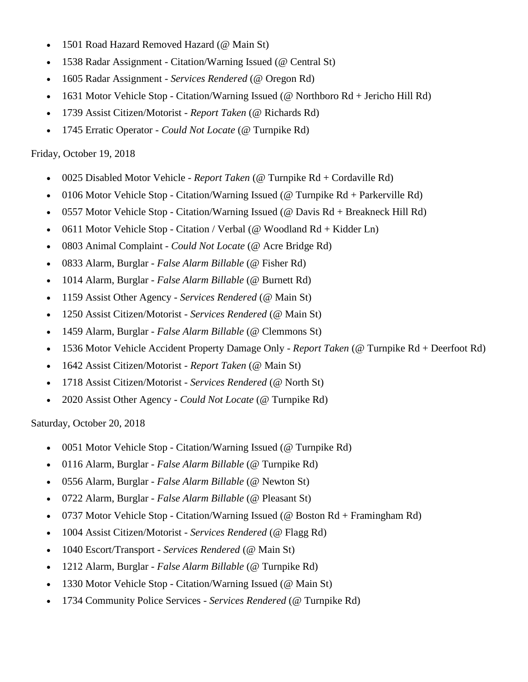- 1501 Road Hazard Removed Hazard (@ Main St)
- 1538 Radar Assignment Citation/Warning Issued (@ Central St)
- 1605 Radar Assignment *Services Rendered* (@ Oregon Rd)
- 1631 Motor Vehicle Stop Citation/Warning Issued (@ Northboro Rd + Jericho Hill Rd)
- 1739 Assist Citizen/Motorist *Report Taken* (@ Richards Rd)
- 1745 Erratic Operator *Could Not Locate* (@ Turnpike Rd)

#### Friday, October 19, 2018

- 0025 Disabled Motor Vehicle *Report Taken* (@ Turnpike Rd + Cordaville Rd)
- 0106 Motor Vehicle Stop Citation/Warning Issued (@ Turnpike Rd + Parkerville Rd)
- 0557 Motor Vehicle Stop Citation/Warning Issued (@ Davis Rd + Breakneck Hill Rd)
- 0611 Motor Vehicle Stop Citation / Verbal (@ Woodland Rd + Kidder Ln)
- 0803 Animal Complaint *Could Not Locate* (@ Acre Bridge Rd)
- 0833 Alarm, Burglar *False Alarm Billable* (@ Fisher Rd)
- 1014 Alarm, Burglar *False Alarm Billable* (@ Burnett Rd)
- 1159 Assist Other Agency *Services Rendered* (@ Main St)
- 1250 Assist Citizen/Motorist *Services Rendered* (@ Main St)
- 1459 Alarm, Burglar *False Alarm Billable* (@ Clemmons St)
- 1536 Motor Vehicle Accident Property Damage Only *Report Taken* (@ Turnpike Rd + Deerfoot Rd)
- 1642 Assist Citizen/Motorist *Report Taken* (@ Main St)
- 1718 Assist Citizen/Motorist *Services Rendered* (@ North St)
- 2020 Assist Other Agency *Could Not Locate* (@ Turnpike Rd)

#### Saturday, October 20, 2018

- 0051 Motor Vehicle Stop Citation/Warning Issued (@ Turnpike Rd)
- 0116 Alarm, Burglar *False Alarm Billable* (@ Turnpike Rd)
- 0556 Alarm, Burglar *False Alarm Billable* (@ Newton St)
- 0722 Alarm, Burglar *False Alarm Billable* (@ Pleasant St)
- 0737 Motor Vehicle Stop Citation/Warning Issued (@ Boston Rd + Framingham Rd)
- 1004 Assist Citizen/Motorist *Services Rendered* (@ Flagg Rd)
- 1040 Escort/Transport *Services Rendered* (@ Main St)
- 1212 Alarm, Burglar *False Alarm Billable* (@ Turnpike Rd)
- 1330 Motor Vehicle Stop Citation/Warning Issued (@ Main St)
- 1734 Community Police Services *Services Rendered* (@ Turnpike Rd)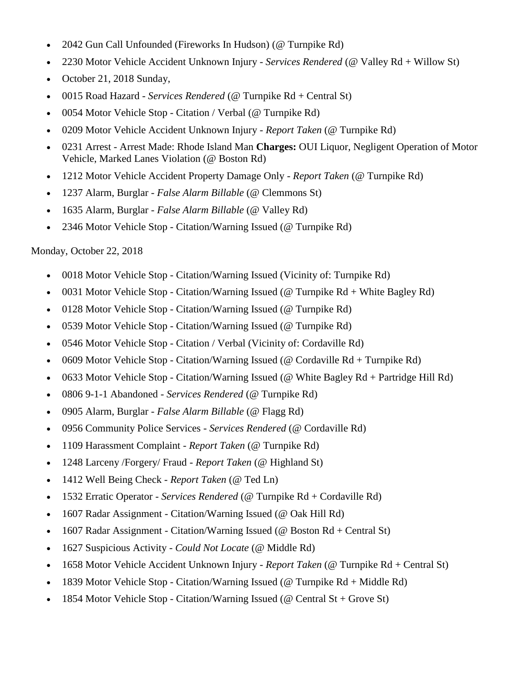- 2042 Gun Call Unfounded (Fireworks In Hudson) (@ Turnpike Rd)
- 2230 Motor Vehicle Accident Unknown Injury *Services Rendered* (@ Valley Rd + Willow St)
- October 21, 2018 Sunday,
- 0015 Road Hazard *Services Rendered* (@ Turnpike Rd + Central St)
- 0054 Motor Vehicle Stop Citation / Verbal (@ Turnpike Rd)
- 0209 Motor Vehicle Accident Unknown Injury *Report Taken* (@ Turnpike Rd)
- 0231 Arrest Arrest Made: Rhode Island Man **Charges:** OUI Liquor, Negligent Operation of Motor Vehicle, Marked Lanes Violation (@ Boston Rd)
- 1212 Motor Vehicle Accident Property Damage Only *Report Taken* (@ Turnpike Rd)
- 1237 Alarm, Burglar *False Alarm Billable* (@ Clemmons St)
- 1635 Alarm, Burglar *False Alarm Billable* (@ Valley Rd)
- 2346 Motor Vehicle Stop Citation/Warning Issued (@ Turnpike Rd)

# Monday, October 22, 2018

- 0018 Motor Vehicle Stop Citation/Warning Issued (Vicinity of: Turnpike Rd)
- 0031 Motor Vehicle Stop Citation/Warning Issued (@ Turnpike  $Rd +$  White Bagley Rd)
- 0128 Motor Vehicle Stop Citation/Warning Issued (@ Turnpike Rd)
- 0539 Motor Vehicle Stop Citation/Warning Issued (@ Turnpike Rd)
- 0546 Motor Vehicle Stop Citation / Verbal (Vicinity of: Cordaville Rd)
- 0609 Motor Vehicle Stop Citation/Warning Issued (@ Cordaville Rd + Turnpike Rd)
- 0633 Motor Vehicle Stop Citation/Warning Issued (@ White Bagley Rd + Partridge Hill Rd)
- 0806 9-1-1 Abandoned *Services Rendered* (@ Turnpike Rd)
- 0905 Alarm, Burglar *False Alarm Billable* (@ Flagg Rd)
- 0956 Community Police Services *Services Rendered* (@ Cordaville Rd)
- 1109 Harassment Complaint *Report Taken* (@ Turnpike Rd)
- 1248 Larceny /Forgery/ Fraud *Report Taken* (@ Highland St)
- 1412 Well Being Check *Report Taken* (@ Ted Ln)
- 1532 Erratic Operator *Services Rendered* (@ Turnpike Rd + Cordaville Rd)
- 1607 Radar Assignment Citation/Warning Issued (@ Oak Hill Rd)
- 1607 Radar Assignment Citation/Warning Issued (@ Boston Rd + Central St)
- 1627 Suspicious Activity *Could Not Locate* (@ Middle Rd)
- 1658 Motor Vehicle Accident Unknown Injury *Report Taken* (@ Turnpike Rd + Central St)
- 1839 Motor Vehicle Stop Citation/Warning Issued (@ Turnpike  $Rd + Middle Rd$ )
- 1854 Motor Vehicle Stop Citation/Warning Issued (@ Central St + Grove St)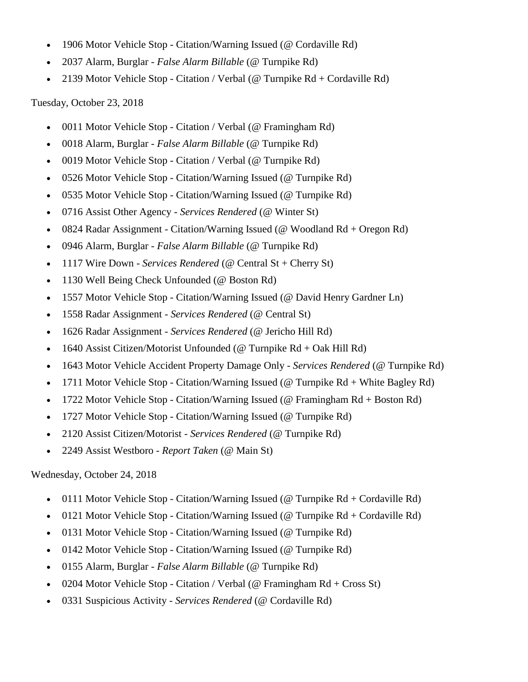- 1906 Motor Vehicle Stop Citation/Warning Issued (@ Cordaville Rd)
- 2037 Alarm, Burglar *False Alarm Billable* (@ Turnpike Rd)
- 2139 Motor Vehicle Stop Citation / Verbal (@ Turnpike Rd + Cordaville Rd)

Tuesday, October 23, 2018

- 0011 Motor Vehicle Stop Citation / Verbal (@ Framingham Rd)
- 0018 Alarm, Burglar *False Alarm Billable* (@ Turnpike Rd)
- 0019 Motor Vehicle Stop Citation / Verbal (@ Turnpike Rd)
- 0526 Motor Vehicle Stop Citation/Warning Issued (@ Turnpike Rd)
- 0535 Motor Vehicle Stop Citation/Warning Issued (@ Turnpike Rd)
- 0716 Assist Other Agency *Services Rendered* (@ Winter St)
- 0824 Radar Assignment Citation/Warning Issued (@ Woodland Rd + Oregon Rd)
- 0946 Alarm, Burglar *False Alarm Billable* (@ Turnpike Rd)
- 1117 Wire Down *Services Rendered* (@ Central St + Cherry St)
- 1130 Well Being Check Unfounded (@ Boston Rd)
- 1557 Motor Vehicle Stop Citation/Warning Issued (@ David Henry Gardner Ln)
- 1558 Radar Assignment *Services Rendered* (@ Central St)
- 1626 Radar Assignment *Services Rendered* (@ Jericho Hill Rd)
- 1640 Assist Citizen/Motorist Unfounded ( $@$  Turnpike Rd + Oak Hill Rd)
- 1643 Motor Vehicle Accident Property Damage Only *Services Rendered* (@ Turnpike Rd)
- 1711 Motor Vehicle Stop Citation/Warning Issued (@ Turnpike Rd + White Bagley Rd)
- 1722 Motor Vehicle Stop Citation/Warning Issued (@ Framingham Rd + Boston Rd)
- 1727 Motor Vehicle Stop Citation/Warning Issued (@ Turnpike Rd)
- 2120 Assist Citizen/Motorist *Services Rendered* (@ Turnpike Rd)
- 2249 Assist Westboro *Report Taken* (@ Main St)

Wednesday, October 24, 2018

- 0111 Motor Vehicle Stop Citation/Warning Issued (@ Turnpike  $Rd + Cordaville Rd$ )
- 0121 Motor Vehicle Stop Citation/Warning Issued (@ Turnpike  $Rd + Cordaville Rd$ )
- 0131 Motor Vehicle Stop Citation/Warning Issued (@ Turnpike Rd)
- 0142 Motor Vehicle Stop Citation/Warning Issued (@ Turnpike Rd)
- 0155 Alarm, Burglar *False Alarm Billable* (@ Turnpike Rd)
- 0204 Motor Vehicle Stop Citation / Verbal (@ Framingham Rd + Cross St)
- 0331 Suspicious Activity *Services Rendered* (@ Cordaville Rd)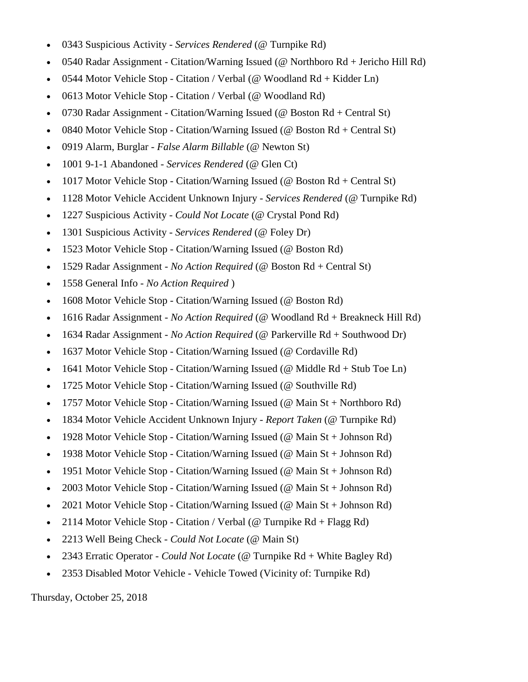- 0343 Suspicious Activity *Services Rendered* (@ Turnpike Rd)
- 0540 Radar Assignment Citation/Warning Issued (@ Northboro Rd + Jericho Hill Rd)
- 0544 Motor Vehicle Stop Citation / Verbal (@ Woodland Rd + Kidder Ln)
- 0613 Motor Vehicle Stop Citation / Verbal (@ Woodland Rd)
- 0730 Radar Assignment Citation/Warning Issued (@ Boston Rd + Central St)
- 0840 Motor Vehicle Stop Citation/Warning Issued (@ Boston Rd + Central St)
- 0919 Alarm, Burglar *False Alarm Billable* (@ Newton St)
- 1001 9-1-1 Abandoned *Services Rendered* (@ Glen Ct)
- 1017 Motor Vehicle Stop Citation/Warning Issued ( $\omega$  Boston Rd + Central St)
- 1128 Motor Vehicle Accident Unknown Injury *Services Rendered* (@ Turnpike Rd)
- 1227 Suspicious Activity *Could Not Locate* (@ Crystal Pond Rd)
- 1301 Suspicious Activity *Services Rendered* (@ Foley Dr)
- 1523 Motor Vehicle Stop Citation/Warning Issued (@ Boston Rd)
- 1529 Radar Assignment *No Action Required* (@ Boston Rd + Central St)
- 1558 General Info *No Action Required* )
- 1608 Motor Vehicle Stop Citation/Warning Issued (@ Boston Rd)
- 1616 Radar Assignment *No Action Required* (@ Woodland Rd + Breakneck Hill Rd)
- 1634 Radar Assignment *No Action Required* (@ Parkerville Rd + Southwood Dr)
- 1637 Motor Vehicle Stop Citation/Warning Issued (@ Cordaville Rd)
- 1641 Motor Vehicle Stop Citation/Warning Issued ( $@$  Middle Rd + Stub Toe Ln)
- 1725 Motor Vehicle Stop Citation/Warning Issued (@ Southville Rd)
- 1757 Motor Vehicle Stop Citation/Warning Issued (@ Main St + Northboro Rd)
- 1834 Motor Vehicle Accident Unknown Injury *Report Taken* (@ Turnpike Rd)
- 1928 Motor Vehicle Stop Citation/Warning Issued (@ Main St + Johnson Rd)
- 1938 Motor Vehicle Stop Citation/Warning Issued (@ Main St + Johnson Rd)
- 1951 Motor Vehicle Stop Citation/Warning Issued (@ Main St + Johnson Rd)
- 2003 Motor Vehicle Stop Citation/Warning Issued (@ Main St + Johnson Rd)
- 2021 Motor Vehicle Stop Citation/Warning Issued (@ Main St + Johnson Rd)
- 2114 Motor Vehicle Stop Citation / Verbal (@ Turnpike  $Rd + Flagg Rd$ )
- 2213 Well Being Check *Could Not Locate* (@ Main St)
- 2343 Erratic Operator *Could Not Locate* (@ Turnpike Rd + White Bagley Rd)
- 2353 Disabled Motor Vehicle Vehicle Towed (Vicinity of: Turnpike Rd)

Thursday, October 25, 2018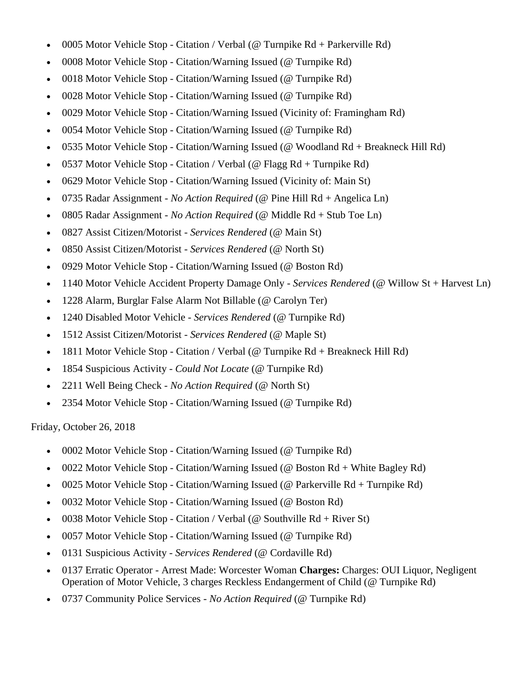- 0005 Motor Vehicle Stop Citation / Verbal (@ Turnpike Rd + Parkerville Rd)
- 0008 Motor Vehicle Stop Citation/Warning Issued (@ Turnpike Rd)
- 0018 Motor Vehicle Stop Citation/Warning Issued (@ Turnpike Rd)
- 0028 Motor Vehicle Stop Citation/Warning Issued (@ Turnpike Rd)
- 0029 Motor Vehicle Stop Citation/Warning Issued (Vicinity of: Framingham Rd)
- 0054 Motor Vehicle Stop Citation/Warning Issued (@ Turnpike Rd)
- 0535 Motor Vehicle Stop Citation/Warning Issued (@ Woodland Rd + Breakneck Hill Rd)
- 0537 Motor Vehicle Stop Citation / Verbal (@ Flagg Rd + Turnpike Rd)
- 0629 Motor Vehicle Stop Citation/Warning Issued (Vicinity of: Main St)
- 0735 Radar Assignment *No Action Required* (@ Pine Hill Rd + Angelica Ln)
- 0805 Radar Assignment *No Action Required* (@ Middle Rd + Stub Toe Ln)
- 0827 Assist Citizen/Motorist *Services Rendered* (@ Main St)
- 0850 Assist Citizen/Motorist *Services Rendered* (@ North St)
- 0929 Motor Vehicle Stop Citation/Warning Issued (@ Boston Rd)
- 1140 Motor Vehicle Accident Property Damage Only *Services Rendered* (@ Willow St + Harvest Ln)
- 1228 Alarm, Burglar False Alarm Not Billable (@ Carolyn Ter)
- 1240 Disabled Motor Vehicle *Services Rendered* (@ Turnpike Rd)
- 1512 Assist Citizen/Motorist *Services Rendered* (@ Maple St)
- 1811 Motor Vehicle Stop Citation / Verbal (@ Turnpike Rd + Breakneck Hill Rd)
- 1854 Suspicious Activity *Could Not Locate* (@ Turnpike Rd)
- 2211 Well Being Check *No Action Required* (@ North St)
- 2354 Motor Vehicle Stop Citation/Warning Issued (@ Turnpike Rd)

Friday, October 26, 2018

- 0002 Motor Vehicle Stop Citation/Warning Issued (@ Turnpike Rd)
- 0022 Motor Vehicle Stop Citation/Warning Issued (@ Boston Rd + White Bagley Rd)
- 0025 Motor Vehicle Stop Citation/Warning Issued (@ Parkerville Rd + Turnpike Rd)
- 0032 Motor Vehicle Stop Citation/Warning Issued (@ Boston Rd)
- 0038 Motor Vehicle Stop Citation / Verbal ( $\omega$  Southville Rd + River St)
- 0057 Motor Vehicle Stop Citation/Warning Issued (@ Turnpike Rd)
- 0131 Suspicious Activity *Services Rendered* (@ Cordaville Rd)
- 0137 Erratic Operator Arrest Made: Worcester Woman **Charges:** Charges: OUI Liquor, Negligent Operation of Motor Vehicle, 3 charges Reckless Endangerment of Child (@ Turnpike Rd)
- 0737 Community Police Services *No Action Required* (@ Turnpike Rd)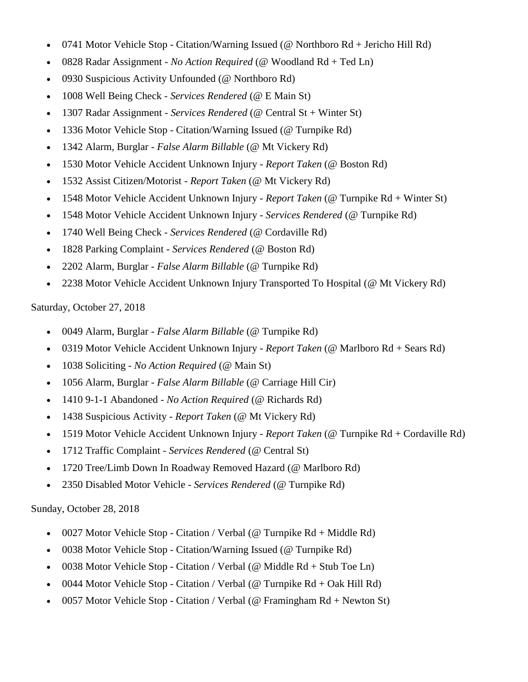- 0741 Motor Vehicle Stop Citation/Warning Issued (@ Northboro Rd + Jericho Hill Rd)
- 0828 Radar Assignment *No Action Required* (@ Woodland Rd + Ted Ln)
- 0930 Suspicious Activity Unfounded (@ Northboro Rd)
- 1008 Well Being Check *Services Rendered* (@ E Main St)
- 1307 Radar Assignment *Services Rendered* (@ Central St + Winter St)
- 1336 Motor Vehicle Stop Citation/Warning Issued (@ Turnpike Rd)
- 1342 Alarm, Burglar *False Alarm Billable* (@ Mt Vickery Rd)
- 1530 Motor Vehicle Accident Unknown Injury *Report Taken* (@ Boston Rd)
- 1532 Assist Citizen/Motorist *Report Taken* (@ Mt Vickery Rd)
- 1548 Motor Vehicle Accident Unknown Injury *Report Taken* (@ Turnpike Rd + Winter St)
- 1548 Motor Vehicle Accident Unknown Injury *Services Rendered* (@ Turnpike Rd)
- 1740 Well Being Check *Services Rendered* (@ Cordaville Rd)
- 1828 Parking Complaint *Services Rendered* (@ Boston Rd)
- 2202 Alarm, Burglar *False Alarm Billable* (@ Turnpike Rd)
- 2238 Motor Vehicle Accident Unknown Injury Transported To Hospital (@ Mt Vickery Rd)

# Saturday, October 27, 2018

- 0049 Alarm, Burglar *False Alarm Billable* (@ Turnpike Rd)
- 0319 Motor Vehicle Accident Unknown Injury *Report Taken* (@ Marlboro Rd + Sears Rd)
- 1038 Soliciting *No Action Required* (@ Main St)
- 1056 Alarm, Burglar *False Alarm Billable* (@ Carriage Hill Cir)
- 1410 9-1-1 Abandoned *No Action Required* (@ Richards Rd)
- 1438 Suspicious Activity *Report Taken* (@ Mt Vickery Rd)
- 1519 Motor Vehicle Accident Unknown Injury *Report Taken* (@ Turnpike Rd + Cordaville Rd)
- 1712 Traffic Complaint *Services Rendered* (@ Central St)
- 1720 Tree/Limb Down In Roadway Removed Hazard (@ Marlboro Rd)
- 2350 Disabled Motor Vehicle *Services Rendered* (@ Turnpike Rd)

# Sunday, October 28, 2018

- 0027 Motor Vehicle Stop Citation / Verbal (@ Turnpike  $Rd + Middle Rd$ )
- 0038 Motor Vehicle Stop Citation/Warning Issued (@ Turnpike Rd)
- 0038 Motor Vehicle Stop Citation / Verbal (@ Middle  $Rd + Stub$  Toe Ln)
- 0044 Motor Vehicle Stop Citation / Verbal (@ Turnpike Rd + Oak Hill Rd)
- 0057 Motor Vehicle Stop Citation / Verbal (@ Framingham Rd + Newton St)